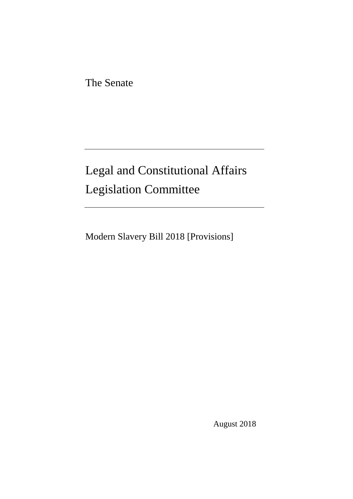The Senate

# Legal and Constitutional Affairs Legislation Committee

Modern Slavery Bill 2018 [Provisions]

August 2018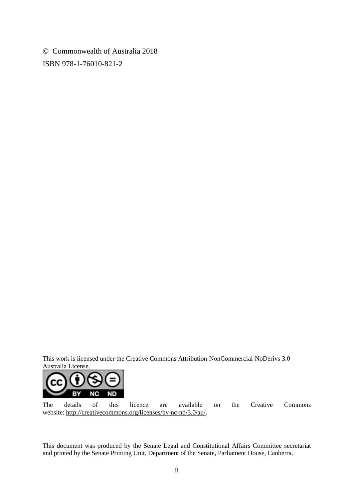Commonwealth of Australia 2018 ISBN 978-1-76010-821-2

This work is licensed under the Creative Commons Attribution-NonCommercial-NoDerivs 3.0 Australia License.



The details of this licence are available on the Creative Commons website: http://creativecommons.org/licenses/by-nc-nd/3.0/au/.

This document was produced by the Senate Legal and Constitutional Affairs Committee secretariat and printed by the Senate Printing Unit, Department of the Senate, Parliament House, Canberra.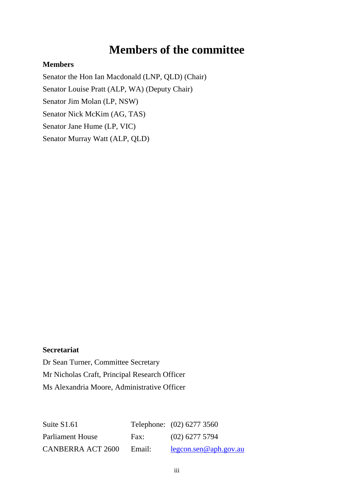## **Members of the committee**

#### **Members**

Senator the Hon Ian Macdonald (LNP, QLD) (Chair) Senator Louise Pratt (ALP, WA) (Deputy Chair) Senator Jim Molan (LP, NSW) Senator Nick McKim (AG, TAS) Senator Jane Hume (LP, VIC) Senator Murray Watt (ALP, QLD)

#### **Secretariat**

Dr Sean Turner, Committee Secretary Mr Nicholas Craft, Principal Research Officer Ms Alexandria Moore, Administrative Officer

| Suite S1.61              |        | Telephone: (02) 6277 3560 |
|--------------------------|--------|---------------------------|
| Parliament House         | Fax:   | $(02)$ 6277 5794          |
| <b>CANBERRA ACT 2600</b> | Email: | $legcon.$ sen@aph.gov.au  |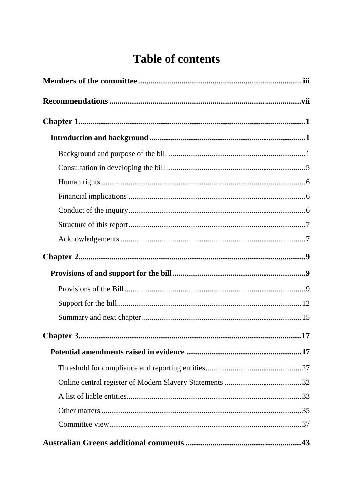# **Table of contents**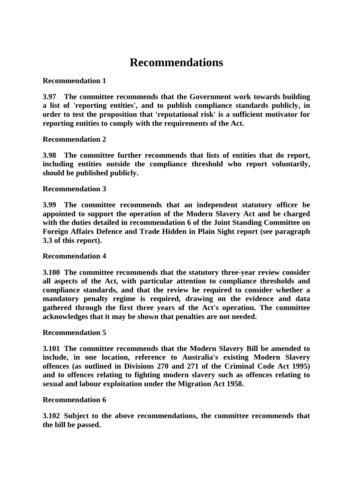## **Recommendations**

**Recommendation 1**

**3.97 The committee recommends that the Government work towards building a list of 'reporting entities', and to publish compliance standards publicly, in order to test the proposition that 'reputational risk' is a sufficient motivator for reporting entities to comply with the requirements of the Act.** 

**Recommendation 2**

**3.98 The committee further recommends that lists of entities that do report, including entities outside the compliance threshold who report voluntarily, should be published publicly.**

**Recommendation 3**

**3.99 The committee recommends that an independent statutory officer be appointed to support the operation of the Modern Slavery Act and be charged with the duties detailed in recommendation 6 of the Joint Standing Committee on Foreign Affairs Defence and Trade Hidden in Plain Sight report (see paragraph 3.3 of this report).**

**Recommendation 4**

**3.100 The committee recommends that the statutory three-year review consider all aspects of the Act, with particular attention to compliance thresholds and compliance standards, and that the review be required to consider whether a mandatory penalty regime is required, drawing on the evidence and data gathered through the first three years of the Act's operation. The committee acknowledges that it may be shown that penalties are not needed.**

#### **Recommendation 5**

**3.101 The committee recommends that the Modern Slavery Bill be amended to include, in one location, reference to Australia's existing Modern Slavery offences (as outlined in Divisions 270 and 271 of the Criminal Code Act 1995) and to offences relating to fighting modern slavery such as offences relating to sexual and labour exploitation under the Migration Act 1958.**

#### **Recommendation 6**

**3.102 Subject to the above recommendations, the committee recommends that the bill be passed.**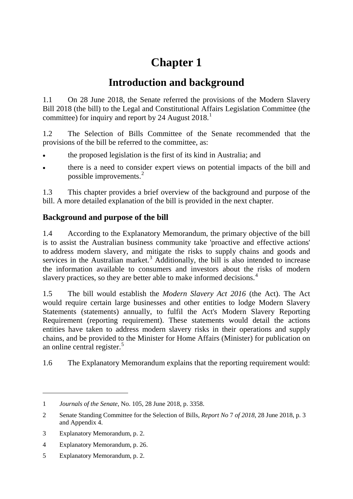# **Chapter 1**

## **Introduction and background**

1.1 On 28 June 2018, the Senate referred the provisions of the Modern Slavery Bill 2018 (the bill) to the Legal and Constitutional Affairs Legislation Committee (the committee) for inquiry and report by 24 August 2018.<sup>1</sup>

1.2 The Selection of Bills Committee of the Senate recommended that the provisions of the bill be referred to the committee, as:

- the proposed legislation is the first of its kind in Australia; and
- there is a need to consider expert views on potential impacts of the bill and possible improvements.<sup>2</sup>

1.3 This chapter provides a brief overview of the background and purpose of the bill. A more detailed explanation of the bill is provided in the next chapter.

## **Background and purpose of the bill**

1.4 According to the Explanatory Memorandum, the primary objective of the bill is to assist the Australian business community take 'proactive and effective actions' to address modern slavery, and mitigate the risks to supply chains and goods and services in the Australian market.<sup>3</sup> Additionally, the bill is also intended to increase the information available to consumers and investors about the risks of modern slavery practices, so they are better able to make informed decisions.<sup>4</sup>

1.5 The bill would establish the *Modern Slavery Act 2016* (the Act). The Act would require certain large businesses and other entities to lodge Modern Slavery Statements (statements) annually, to fulfil the Act's Modern Slavery Reporting Requirement (reporting requirement). These statements would detail the actions entities have taken to address modern slavery risks in their operations and supply chains, and be provided to the Minister for Home Affairs (Minister) for publication on an online central register. $5$ 

1.6 The Explanatory Memorandum explains that the reporting requirement would:

<sup>1</sup> *Journals of the Senate*, No. 105, 28 June 2018, p. 3358.

<sup>2</sup> Senate Standing Committee for the Selection of Bills, *Report No* 7 *of 2018*, 28 June 2018, p. 3 and Appendix 4.

<sup>3</sup> Explanatory Memorandum, p. 2.

<sup>4</sup> Explanatory Memorandum, p. 26.

<sup>5</sup> Explanatory Memorandum, p. 2.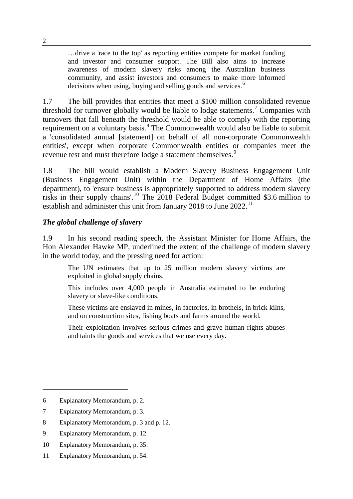…drive a 'race to the top' as reporting entities compete for market funding and investor and consumer support. The Bill also aims to increase awareness of modern slavery risks among the Australian business community, and assist investors and consumers to make more informed decisions when using, buying and selling goods and services.<sup>6</sup>

1.7 The bill provides that entities that meet a \$100 million consolidated revenue threshold for turnover globally would be liable to lodge statements.<sup>7</sup> Companies with turnovers that fall beneath the threshold would be able to comply with the reporting requirement on a voluntary basis.<sup>8</sup> The Commonwealth would also be liable to submit a 'consolidated annual [statement] on behalf of all non-corporate Commonwealth entities', except when corporate Commonwealth entities or companies meet the revenue test and must therefore lodge a statement themselves.<sup>9</sup>

1.8 The bill would establish a Modern Slavery Business Engagement Unit (Business Engagement Unit) within the Department of Home Affairs (the department), to 'ensure business is appropriately supported to address modern slavery risks in their supply chains'. <sup>10</sup> The 2018 Federal Budget committed \$3.6 million to establish and administer this unit from January 2018 to June  $2022$ <sup>11</sup>

#### *The global challenge of slavery*

1.9 In his second reading speech, the Assistant Minister for Home Affairs, the Hon Alexander Hawke MP, underlined the extent of the challenge of modern slavery in the world today, and the pressing need for action:

The UN estimates that up to 25 million modern slavery victims are exploited in global supply chains.

This includes over 4,000 people in Australia estimated to be enduring slavery or slave-like conditions.

These victims are enslaved in mines, in factories, in brothels, in brick kilns, and on construction sites, fishing boats and farms around the world.

Their exploitation involves serious crimes and grave human rights abuses and taints the goods and services that we use every day.

<sup>6</sup> Explanatory Memorandum, p. 2.

<sup>7</sup> Explanatory Memorandum, p. 3.

<sup>8</sup> Explanatory Memorandum, p. 3 and p. 12.

<sup>9</sup> Explanatory Memorandum, p. 12.

<sup>10</sup> Explanatory Memorandum, p. 35.

<sup>11</sup> Explanatory Memorandum, p. 54.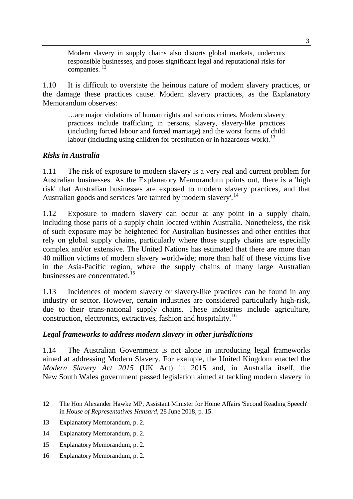Modern slavery in supply chains also distorts global markets, undercuts responsible businesses, and poses significant legal and reputational risks for companies. <sup>12</sup>

1.10 It is difficult to overstate the heinous nature of modern slavery practices, or the damage these practices cause. Modern slavery practices, as the Explanatory Memorandum observes:

…are major violations of human rights and serious crimes. Modern slavery practices include trafficking in persons, slavery, slavery-like practices (including forced labour and forced marriage) and the worst forms of child labour (including using children for prostitution or in hazardous work).<sup>13</sup>

#### *Risks in Australia*

1.11 The risk of exposure to modern slavery is a very real and current problem for Australian businesses. As the Explanatory Memorandum points out, there is a 'high risk' that Australian businesses are exposed to modern slavery practices, and that Australian goods and services 'are tainted by modern slavery'.<sup>14</sup>

1.12 Exposure to modern slavery can occur at any point in a supply chain, including those parts of a supply chain located within Australia. Nonetheless, the risk of such exposure may be heightened for Australian businesses and other entities that rely on global supply chains, particularly where those supply chains are especially complex and/or extensive. The United Nations has estimated that there are more than 40 million victims of modern slavery worldwide; more than half of these victims live in the Asia-Pacific region, where the supply chains of many large Australian businesses are concentrated.<sup>15</sup>

1.13 Incidences of modern slavery or slavery-like practices can be found in any industry or sector. However, certain industries are considered particularly high-risk, due to their trans-national supply chains. These industries include agriculture, construction, electronics, extractives, fashion and hospitality.16

#### *Legal frameworks to address modern slavery in other jurisdictions*

1.14 The Australian Government is not alone in introducing legal frameworks aimed at addressing Modern Slavery. For example, the United Kingdom enacted the *Modern Slavery Act 2015* (UK Act) in 2015 and, in Australia itself, the New South Wales government passed legislation aimed at tackling modern slavery in

<sup>12</sup> The Hon Alexander Hawke MP, Assistant Minister for Home Affairs 'Second Reading Speech' in *House of Representatives Hansard*, 28 June 2018, p. 15.

<sup>13</sup> Explanatory Memorandum, p. 2.

<sup>14</sup> Explanatory Memorandum, p. 2.

<sup>15</sup> Explanatory Memorandum, p. 2.

<sup>16</sup> Explanatory Memorandum, p. 2.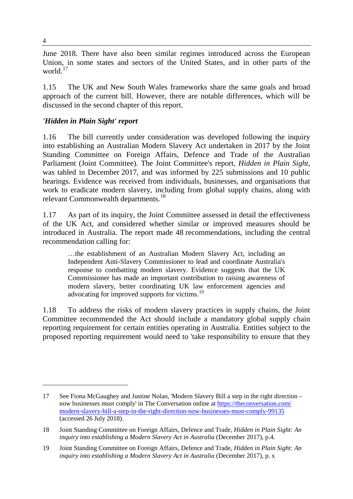June 2018. There have also been similar regimes introduced across the European Union, in some states and sectors of the United States, and in other parts of the world.<sup>17</sup>

1.15 The UK and New South Wales frameworks share the same goals and broad approach of the current bill. However, there are notable differences, which will be discussed in the second chapter of this report.

## *'Hidden in Plain Sight' report*

1.16 The bill currently under consideration was developed following the inquiry into establishing an Australian Modern Slavery Act undertaken in 2017 by the Joint Standing Committee on Foreign Affairs, Defence and Trade of the Australian Parliament (Joint Committee). The Joint Committee's report, *Hidden in Plain Sight*, was tabled in December 2017, and was informed by 225 submissions and 10 public hearings. Evidence was received from individuals, businesses, and organisations that work to eradicate modern slavery, including from global supply chains, along with relevant Commonwealth departments.<sup>18</sup>

1.17 As part of its inquiry, the Joint Committee assessed in detail the effectiveness of the UK Act, and considered whether similar or improved measures should be introduced in Australia. The report made 48 recommendations, including the central recommendation calling for:

…the establishment of an Australian Modern Slavery Act, including an Independent Anti-Slavery Commissioner to lead and coordinate Australia's response to combatting modern slavery. Evidence suggests that the UK Commissioner has made an important contribution to raising awareness of modern slavery, better coordinating UK law enforcement agencies and advocating for improved supports for victims.<sup>19</sup>

1.18 To address the risks of modern slavery practices in supply chains, the Joint Committee recommended the Act should include a mandatory global supply chain reporting requirement for certain entities operating in Australia. Entities subject to the proposed reporting requirement would need to 'take responsibility to ensure that they

<sup>17</sup> See Fiona McGaughey and Justine Nolan, 'Modern Slavery Bill a step in the right direction – now businesses must comply' in The Conversation online at https://theconversation.com/ modern-slavery-bill-a-step-in-the-right-direction-now-businesses-must-comply-99135 (accessed 26 July 2018).

<sup>18</sup> Joint Standing Committee on Foreign Affairs, Defence and Trade, *Hidden in Plain Sight: An*  inquiry into establishing a Modern Slavery Act in Australia (December 2017), p.4.

<sup>19</sup> Joint Standing Committee on Foreign Affairs, Defence and Trade, *Hidden in Plain Sight: An inquiry into establishing a Modern Slavery Act in Australia* (December 2017), p. x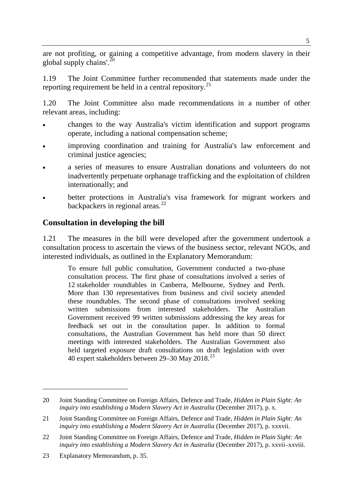are not profiting, or gaining a competitive advantage, from modern slavery in their global supply chains'.<sup>20</sup>

1.19 The Joint Committee further recommended that statements made under the reporting requirement be held in a central repository.<sup>21</sup>

1.20 The Joint Committee also made recommendations in a number of other relevant areas, including:

- changes to the way Australia's victim identification and support programs operate, including a national compensation scheme;
- improving coordination and training for Australia's law enforcement and criminal justice agencies;
- a series of measures to ensure Australian donations and volunteers do not inadvertently perpetuate orphanage trafficking and the exploitation of children internationally; and
- better protections in Australia's visa framework for migrant workers and backpackers in regional areas. $^{22}$

## **Consultation in developing the bill**

1.21 The measures in the bill were developed after the government undertook a consultation process to ascertain the views of the business sector, relevant NGOs, and interested individuals, as outlined in the Explanatory Memorandum:

To ensure full public consultation, Government conducted a two-phase consultation process. The first phase of consultations involved a series of 12 stakeholder roundtables in Canberra, Melbourne, Sydney and Perth. More than 130 representatives from business and civil society attended these roundtables. The second phase of consultations involved seeking written submissions from interested stakeholders. The Australian Government received 99 written submissions addressing the key areas for feedback set out in the consultation paper. In addition to formal consultations, the Australian Government has held more than 50 direct meetings with interested stakeholders. The Australian Government also held targeted exposure draft consultations on draft legislation with over 40 expert stakeholders between  $29-30$  May  $2018.<sup>23</sup>$ 

<sup>20</sup> Joint Standing Committee on Foreign Affairs, Defence and Trade, *Hidden in Plain Sight: An inquiry into establishing a Modern Slavery Act in Australia* (December 2017), p. x.

<sup>21</sup> Joint Standing Committee on Foreign Affairs, Defence and Trade, *Hidden in Plain Sight: An inquiry into establishing a Modern Slavery Act in Australia* (December 2017), p. xxxvii.

<sup>22</sup> Joint Standing Committee on Foreign Affairs, Defence and Trade, *Hidden in Plain Sight: An inquiry into establishing a Modern Slavery Act in Australia* (December 2017), p. xxvii–xxviii.

<sup>23</sup> Explanatory Memorandum, p. 35.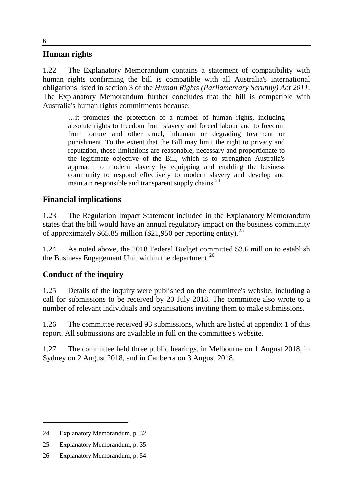#### **Human rights**

1.22 The Explanatory Memorandum contains a statement of compatibility with human rights confirming the bill is compatible with all Australia's international obligations listed in section 3 of the *Human Rights (Parliamentary Scrutiny) Act 2011*. The Explanatory Memorandum further concludes that the bill is compatible with Australia's human rights commitments because:

…it promotes the protection of a number of human rights, including absolute rights to freedom from slavery and forced labour and to freedom from torture and other cruel, inhuman or degrading treatment or punishment. To the extent that the Bill may limit the right to privacy and reputation, those limitations are reasonable, necessary and proportionate to the legitimate objective of the Bill, which is to strengthen Australia's approach to modern slavery by equipping and enabling the business community to respond effectively to modern slavery and develop and maintain responsible and transparent supply chains.  $24$ 

## **Financial implications**

1.23 The Regulation Impact Statement included in the Explanatory Memorandum states that the bill would have an annual regulatory impact on the business community of approximately  $$65.85$  million (\$21,950 per reporting entity).<sup>25</sup>

1.24 As noted above, the 2018 Federal Budget committed \$3.6 million to establish the Business Engagement Unit within the department.<sup>26</sup>

## **Conduct of the inquiry**

1.25 Details of the inquiry were published on the committee's website, including a call for submissions to be received by 20 July 2018. The committee also wrote to a number of relevant individuals and organisations inviting them to make submissions.

1.26 The committee received 93 submissions, which are listed at appendix 1 of this report. All submissions are available in full on the committee's website.

1.27 The committee held three public hearings, in Melbourne on 1 August 2018, in Sydney on 2 August 2018, and in Canberra on 3 August 2018.

<sup>24</sup> Explanatory Memorandum, p. 32.

<sup>25</sup> Explanatory Memorandum, p. 35.

<sup>26</sup> Explanatory Memorandum, p. 54.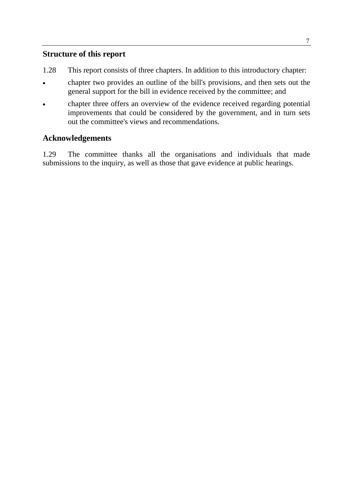## **Structure of this report**

- 1.28 This report consists of three chapters. In addition to this introductory chapter:
- chapter two provides an outline of the bill's provisions, and then sets out the general support for the bill in evidence received by the committee; and
- chapter three offers an overview of the evidence received regarding potential improvements that could be considered by the government, and in turn sets out the committee's views and recommendations.

## **Acknowledgements**

1.29 The committee thanks all the organisations and individuals that made submissions to the inquiry, as well as those that gave evidence at public hearings.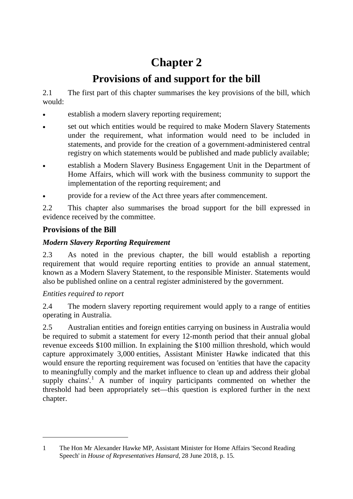# **Chapter 2**

## **Provisions of and support for the bill**

2.1 The first part of this chapter summarises the key provisions of the bill, which would:

- establish a modern slavery reporting requirement;
- set out which entities would be required to make Modern Slavery Statements under the requirement, what information would need to be included in statements, and provide for the creation of a government-administered central registry on which statements would be published and made publicly available;
- establish a Modern Slavery Business Engagement Unit in the Department of Home Affairs, which will work with the business community to support the implementation of the reporting requirement; and
- provide for a review of the Act three years after commencement.

2.2 This chapter also summarises the broad support for the bill expressed in evidence received by the committee.

## **Provisions of the Bill**

## *Modern Slavery Reporting Requirement*

2.3 As noted in the previous chapter, the bill would establish a reporting requirement that would require reporting entities to provide an annual statement, known as a Modern Slavery Statement, to the responsible Minister. Statements would also be published online on a central register administered by the government.

## *Entities required to report*

-

2.4 The modern slavery reporting requirement would apply to a range of entities operating in Australia.

2.5 Australian entities and foreign entities carrying on business in Australia would be required to submit a statement for every 12-month period that their annual global revenue exceeds \$100 million. In explaining the \$100 million threshold, which would capture approximately 3,000 entities, Assistant Minister Hawke indicated that this would ensure the reporting requirement was focused on 'entities that have the capacity to meaningfully comply and the market influence to clean up and address their global supply chains'.<sup>1</sup> A number of inquiry participants commented on whether the threshold had been appropriately set—this question is explored further in the next chapter.

<sup>1</sup> The Hon Mr Alexander Hawke MP, Assistant Minister for Home Affairs 'Second Reading Speech' in *House of Representatives Hansard*, 28 June 2018, p. 15.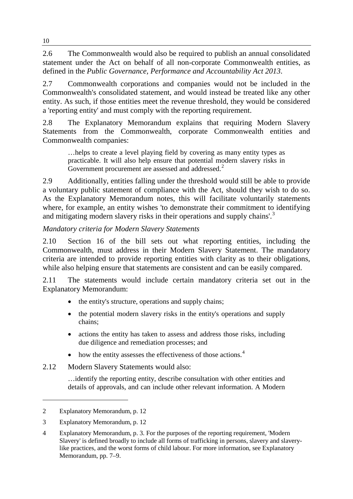2.6 The Commonwealth would also be required to publish an annual consolidated statement under the Act on behalf of all non-corporate Commonwealth entities, as defined in the *Public Governance, Performance and Accountability Act 2013*.

2.7 Commonwealth corporations and companies would not be included in the Commonwealth's consolidated statement, and would instead be treated like any other entity. As such, if those entities meet the revenue threshold, they would be considered a 'reporting entity' and must comply with the reporting requirement.

2.8 The Explanatory Memorandum explains that requiring Modern Slavery Statements from the Commonwealth, corporate Commonwealth entities and Commonwealth companies:

…helps to create a level playing field by covering as many entity types as practicable. It will also help ensure that potential modern slavery risks in Government procurement are assessed and addressed.<sup>2</sup>

2.9 Additionally, entities falling under the threshold would still be able to provide a voluntary public statement of compliance with the Act, should they wish to do so. As the Explanatory Memorandum notes, this will facilitate voluntarily statements where, for example, an entity wishes 'to demonstrate their commitment to identifying and mitigating modern slavery risks in their operations and supply chains'.<sup>3</sup>

## *Mandatory criteria for Modern Slavery Statements*

2.10 Section 16 of the bill sets out what reporting entities, including the Commonwealth, must address in their Modern Slavery Statement. The mandatory criteria are intended to provide reporting entities with clarity as to their obligations, while also helping ensure that statements are consistent and can be easily compared.

2.11 The statements would include certain mandatory criteria set out in the Explanatory Memorandum:

- the entity's structure, operations and supply chains;
- the potential modern slavery risks in the entity's operations and supply chains;
- actions the entity has taken to assess and address those risks, including due diligence and remediation processes; and
- how the entity assesses the effectiveness of those actions. $4$
- 2.12 Modern Slavery Statements would also:

…identify the reporting entity, describe consultation with other entities and details of approvals, and can include other relevant information. A Modern

<sup>2</sup> Explanatory Memorandum, p. 12

<sup>3</sup> Explanatory Memorandum, p. 12

<sup>4</sup> Explanatory Memorandum, p. 3. For the purposes of the reporting requirement, 'Modern Slavery' is defined broadly to include all forms of trafficking in persons, slavery and slaverylike practices, and the worst forms of child labour. For more information, see Explanatory Memorandum, pp. 7–9.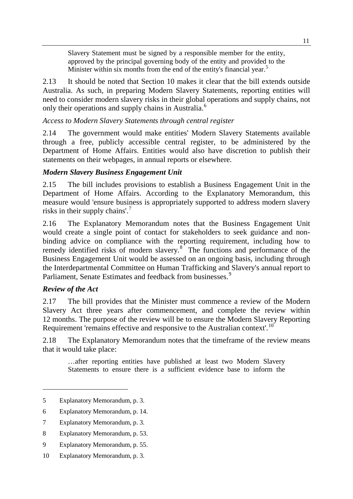Slavery Statement must be signed by a responsible member for the entity, approved by the principal governing body of the entity and provided to the Minister within six months from the end of the entity's financial year.<sup>5</sup>

2.13 It should be noted that Section 10 makes it clear that the bill extends outside Australia. As such, in preparing Modern Slavery Statements, reporting entities will need to consider modern slavery risks in their global operations and supply chains, not only their operations and supply chains in Australia.<sup>6</sup>

#### *Access to Modern Slavery Statements through central register*

2.14 The government would make entities' Modern Slavery Statements available through a free, publicly accessible central register, to be administered by the Department of Home Affairs. Entities would also have discretion to publish their statements on their webpages, in annual reports or elsewhere.

## *Modern Slavery Business Engagement Unit*

2.15 The bill includes provisions to establish a Business Engagement Unit in the Department of Home Affairs. According to the Explanatory Memorandum, this measure would 'ensure business is appropriately supported to address modern slavery risks in their supply chains'.<sup>7</sup>

2.16 The Explanatory Memorandum notes that the Business Engagement Unit would create a single point of contact for stakeholders to seek guidance and nonbinding advice on compliance with the reporting requirement, including how to remedy identified risks of modern slavery.<sup>8</sup> The functions and performance of the Business Engagement Unit would be assessed on an ongoing basis, including through the Interdepartmental Committee on Human Trafficking and Slavery's annual report to Parliament, Senate Estimates and feedback from businesses.<sup>9</sup>

#### *Review of the Act*

-

2.17 The bill provides that the Minister must commence a review of the Modern Slavery Act three years after commencement, and complete the review within 12 months. The purpose of the review will be to ensure the Modern Slavery Reporting Requirement 'remains effective and responsive to the Australian context'.<sup>10</sup>

2.18 The Explanatory Memorandum notes that the timeframe of the review means that it would take place:

…after reporting entities have published at least two Modern Slavery Statements to ensure there is a sufficient evidence base to inform the

<sup>5</sup> Explanatory Memorandum, p. 3.

<sup>6</sup> Explanatory Memorandum, p. 14.

<sup>7</sup> Explanatory Memorandum, p. 3.

<sup>8</sup> Explanatory Memorandum, p. 53.

<sup>9</sup> Explanatory Memorandum, p. 55.

<sup>10</sup> Explanatory Memorandum, p. 3.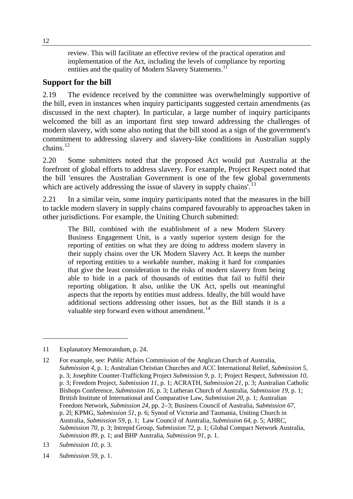review. This will facilitate an effective review of the practical operation and implementation of the Act, including the levels of compliance by reporting entities and the quality of Modern Slavery Statements.<sup>11</sup>

## **Support for the bill**

2.19 The evidence received by the committee was overwhelmingly supportive of the bill, even in instances when inquiry participants suggested certain amendments (as discussed in the next chapter). In particular, a large number of inquiry participants welcomed the bill as an important first step toward addressing the challenges of modern slavery, with some also noting that the bill stood as a sign of the government's commitment to addressing slavery and slavery-like conditions in Australian supply chains. $12$ 

2.20 Some submitters noted that the proposed Act would put Australia at the forefront of global efforts to address slavery. For example, Project Respect noted that the bill 'ensures the Australian Government is one of the few global governments which are actively addressing the issue of slavery in supply chains'.<sup>13</sup>

2.21 In a similar vein, some inquiry participants noted that the measures in the bill to tackle modern slavery in supply chains compared favourably to approaches taken in other jurisdictions. For example, the Uniting Church submitted:

The Bill, combined with the establishment of a new Modern Slavery Business Engagement Unit, is a vastly superior system design for the reporting of entities on what they are doing to address modern slavery in their supply chains over the UK Modern Slavery Act. It keeps the number of reporting entities to a workable number, making it hard for companies that give the least consideration to the risks of modern slavery from being able to hide in a pack of thousands of entities that fail to fulfil their reporting obligation. It also, unlike the UK Act, spells out meaningful aspects that the reports by entities must address. Ideally, the bill would have additional sections addressing other issues, but as the Bill stands it is a valuable step forward even without amendment. $^{14}$ 

<sup>11</sup> Explanatory Memorandum, p. 24.

<sup>12</sup> For example, see: Public Affairs Commission of the Anglican Church of Australia, *Submission 4*, p. 1; Australian Christian Churches and ACC International Relief, *Submission 5*, p. 3; Josephite Counter-Trafficking Project *Submission 9*, p. 1; Project Respect, *Submission 10*, p. 3; Freedom Project, *Submission 11*, p. 1; ACRATH, *Submission 21*, p. 3; Australian Catholic Bishops Conference, *Submission 16*, p. 3; Lutheran Church of Australia, *Submission 19*, p. 1; British Institute of International and Comparative Law, *Submission 20*, p. 1; Australian Freedom Network, *Submission 24*, pp. 2–3; Business Council of Australia, *Submission 67*, p. 2l; KPMG, *Submission 51*, p. 6; Synod of Victoria and Tasmania, Uniting Church in Australia, *Submission 59*, p. 1; Law Council of Australia, *Submission 64*, p. 5; AHRC, *Submission 70*, p. 3; Intrepid Group, *Submission 72*, p. 1; Global Compact Network Australia, *Submission 89*, p. 1; and BHP Australia, *Submission 91*, p. 1.

<sup>13</sup> *Submission 10*, p. 3.

<sup>14</sup> *Submission 59*, p. 1.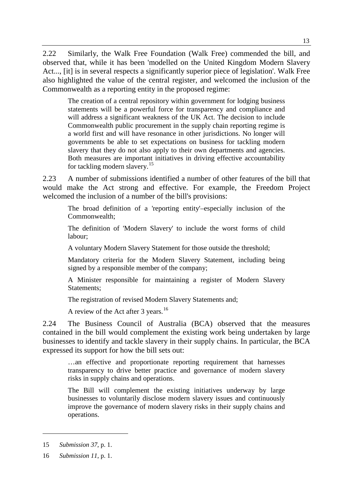2.22 Similarly, the Walk Free Foundation (Walk Free) commended the bill, and observed that, while it has been 'modelled on the United Kingdom Modern Slavery Act..., [it] is in several respects a significantly superior piece of legislation'. Walk Free also highlighted the value of the central register, and welcomed the inclusion of the Commonwealth as a reporting entity in the proposed regime:

The creation of a central repository within government for lodging business statements will be a powerful force for transparency and compliance and will address a significant weakness of the UK Act. The decision to include Commonwealth public procurement in the supply chain reporting regime is a world first and will have resonance in other jurisdictions. No longer will governments be able to set expectations on business for tackling modern slavery that they do not also apply to their own departments and agencies. Both measures are important initiatives in driving effective accountability for tackling modern slavery.<sup>15</sup>

2.23 A number of submissions identified a number of other features of the bill that would make the Act strong and effective. For example, the Freedom Project welcomed the inclusion of a number of the bill's provisions:

The broad definition of a 'reporting entity'–especially inclusion of the Commonwealth;

The definition of 'Modern Slavery' to include the worst forms of child labour;

A voluntary Modern Slavery Statement for those outside the threshold;

Mandatory criteria for the Modern Slavery Statement, including being signed by a responsible member of the company;

A Minister responsible for maintaining a register of Modern Slavery Statements;

The registration of revised Modern Slavery Statements and;

A review of the Act after 3 years.<sup>16</sup>

2.24 The Business Council of Australia (BCA) observed that the measures contained in the bill would complement the existing work being undertaken by large businesses to identify and tackle slavery in their supply chains. In particular, the BCA expressed its support for how the bill sets out:

…an effective and proportionate reporting requirement that harnesses transparency to drive better practice and governance of modern slavery risks in supply chains and operations.

The Bill will complement the existing initiatives underway by large businesses to voluntarily disclose modern slavery issues and continuously improve the governance of modern slavery risks in their supply chains and operations.

<sup>15</sup> *Submission 37*, p. 1.

<sup>16</sup> *Submission 11*, p. 1.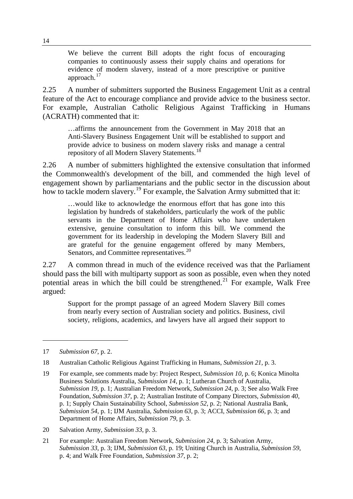We believe the current Bill adopts the right focus of encouraging companies to continuously assess their supply chains and operations for evidence of modern slavery, instead of a more prescriptive or punitive approach. $17$ 

2.25 A number of submitters supported the Business Engagement Unit as a central feature of the Act to encourage compliance and provide advice to the business sector. For example, Australian Catholic Religious Against Trafficking in Humans (ACRATH) commented that it:

…affirms the announcement from the Government in May 2018 that an Anti-Slavery Business Engagement Unit will be established to support and provide advice to business on modern slavery risks and manage a central repository of all Modern Slavery Statements.<sup>18</sup>

2.26 A number of submitters highlighted the extensive consultation that informed the Commonwealth's development of the bill, and commended the high level of engagement shown by parliamentarians and the public sector in the discussion about how to tackle modern slavery.<sup>19</sup> For example, the Salvation Army submitted that it:

…would like to acknowledge the enormous effort that has gone into this legislation by hundreds of stakeholders, particularly the work of the public servants in the Department of Home Affairs who have undertaken extensive, genuine consultation to inform this bill. We commend the government for its leadership in developing the Modern Slavery Bill and are grateful for the genuine engagement offered by many Members, Senators, and Committee representatives.<sup>20</sup>

2.27 A common thread in much of the evidence received was that the Parliament should pass the bill with multiparty support as soon as possible, even when they noted potential areas in which the bill could be strengthened.<sup>21</sup> For example, Walk Free argued:

Support for the prompt passage of an agreed Modern Slavery Bill comes from nearly every section of Australian society and politics. Business, civil society, religions, academics, and lawyers have all argued their support to

<sup>17</sup> *Submission 67*, p. 2.

<sup>18</sup> Australian Catholic Religious Against Trafficking in Humans, *Submission 21*, p. 3.

<sup>19</sup> For example, see comments made by: Project Respect, *Submission 10*, p. 6; Konica Minolta Business Solutions Australia, *Submission 14*, p. 1; Lutheran Church of Australia, *Submission 19*, p. 1; Australian Freedom Network, *Submission 24*, p. 3; See also Walk Free Foundation, *Submission 37*, p. 2; Australian Institute of Company Directors, *Submission 40*, p. 1; Supply Chain Sustainability School, *Submission 52*, p. 2; National Australia Bank, *Submission 54*, p. 1; IJM Australia, *Submission 63*, p. 3; ACCI, *Submission 66*, p. 3; and Department of Home Affairs, *Submission 79*, p. 3.

<sup>20</sup> Salvation Army, *Submission 33*, p. 3.

<sup>21</sup> For example: Australian Freedom Network, *Submission 24*, p. 3; Salvation Army, *Submission 33*, p. 3; IJM, *Submission 63*, p. 19; Uniting Church in Australia, *Submission 59*, p. 4; and Walk Free Foundation*, Submission 37*, p. 2;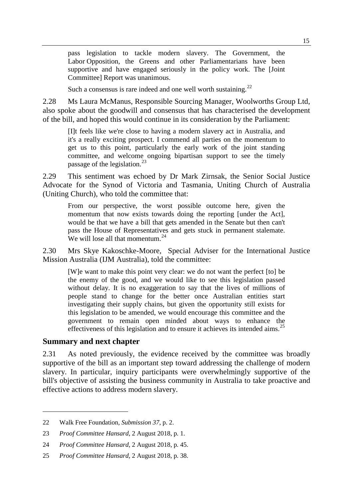pass legislation to tackle modern slavery. The Government, the Labor Opposition, the Greens and other Parliamentarians have been supportive and have engaged seriously in the policy work. The [Joint Committee] Report was unanimous.

Such a consensus is rare indeed and one well worth sustaining.<sup>22</sup>

2.28 Ms Laura McManus, Responsible Sourcing Manager, Woolworths Group Ltd, also spoke about the goodwill and consensus that has characterised the development of the bill, and hoped this would continue in its consideration by the Parliament:

[I]t feels like we're close to having a modern slavery act in Australia, and it's a really exciting prospect. I commend all parties on the momentum to get us to this point, particularly the early work of the joint standing committee, and welcome ongoing bipartisan support to see the timely passage of the legislation.<sup>23</sup>

2.29 This sentiment was echoed by Dr Mark Zirnsak, the Senior Social Justice Advocate for the Synod of Victoria and Tasmania, Uniting Church of Australia (Uniting Church), who told the committee that:

From our perspective, the worst possible outcome here, given the momentum that now exists towards doing the reporting [under the Act], would be that we have a bill that gets amended in the Senate but then can't pass the House of Representatives and gets stuck in permanent stalemate. We will lose all that momentum  $^{24}$ 

2.30 Mrs Skye Kakoschke-Moore, Special Adviser for the International Justice Mission Australia (IJM Australia), told the committee:

[W]e want to make this point very clear: we do not want the perfect [to] be the enemy of the good, and we would like to see this legislation passed without delay. It is no exaggeration to say that the lives of millions of people stand to change for the better once Australian entities start investigating their supply chains, but given the opportunity still exists for this legislation to be amended, we would encourage this committee and the government to remain open minded about ways to enhance the effectiveness of this legislation and to ensure it achieves its intended aims.<sup>25</sup>

#### **Summary and next chapter**

-

2.31 As noted previously, the evidence received by the committee was broadly supportive of the bill as an important step toward addressing the challenge of modern slavery. In particular, inquiry participants were overwhelmingly supportive of the bill's objective of assisting the business community in Australia to take proactive and effective actions to address modern slavery.

<sup>22</sup> Walk Free Foundation*, Submission 37*, p. 2.

<sup>23</sup> *Proof Committee Hansard*, 2 August 2018, p. 1.

<sup>24</sup> *Proof Committee Hansard*, 2 August 2018, p. 45.

<sup>25</sup> *Proof Committee Hansard,* 2 August 2018, p. 38.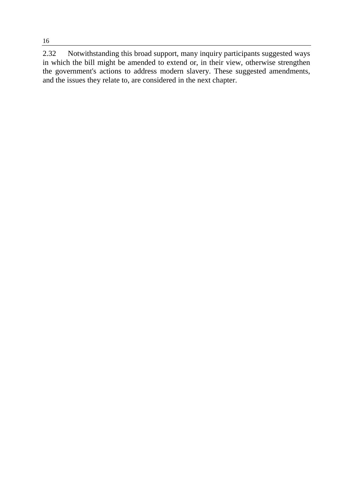2.32 Notwithstanding this broad support, many inquiry participants suggested ways in which the bill might be amended to extend or, in their view, otherwise strengthen the government's actions to address modern slavery. These suggested amendments, and the issues they relate to, are considered in the next chapter.

16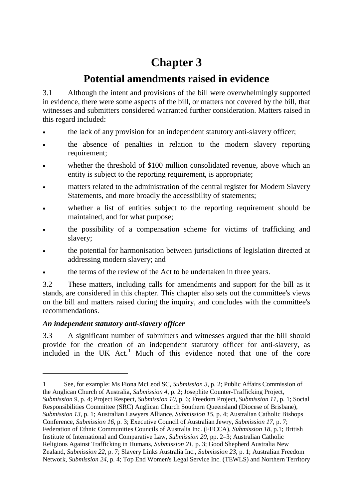# **Chapter 3**

## **Potential amendments raised in evidence**

3.1 Although the intent and provisions of the bill were overwhelmingly supported in evidence, there were some aspects of the bill, or matters not covered by the bill, that witnesses and submitters considered warranted further consideration. Matters raised in this regard included:

- the lack of any provision for an independent statutory anti-slavery officer;
- the absence of penalties in relation to the modern slavery reporting requirement;
- whether the threshold of \$100 million consolidated revenue, above which an entity is subject to the reporting requirement, is appropriate;
- matters related to the administration of the central register for Modern Slavery Statements, and more broadly the accessibility of statements;
- whether a list of entities subject to the reporting requirement should be maintained, and for what purpose;
- the possibility of a compensation scheme for victims of trafficking and slavery;
- the potential for harmonisation between jurisdictions of legislation directed at addressing modern slavery; and
- the terms of the review of the Act to be undertaken in three years.

3.2 These matters, including calls for amendments and support for the bill as it stands, are considered in this chapter. This chapter also sets out the committee's views on the bill and matters raised during the inquiry, and concludes with the committee's recommendations.

## *An independent statutory anti-slavery officer*

-

3.3 A significant number of submitters and witnesses argued that the bill should provide for the creation of an independent statutory officer for anti-slavery, as included in the UK Act.<sup>1</sup> Much of this evidence noted that one of the core

<sup>1</sup> See, for example: Ms Fiona McLeod SC, *Submission 3*, p. 2; Public Affairs Commission of the Anglican Church of Australia, *Submission 4*, p. 2; Josephite Counter-Trafficking Project,

*Submission 9*, p. 4; Project Respect, *Submission 10*, p. 6; Freedom Project, *Submission 11*, p. 1; Social Responsibilities Committee (SRC) Anglican Church Southern Queensland (Diocese of Brisbane), *Submission 13*, p. 1; Australian Lawyers Alliance, *Submission 15*, p. 4; Australian Catholic Bishops Conference, *Submission 16*, p. 3; Executive Council of Australian Jewry, *Submission 17*, p. 7; Federation of Ethnic Communities Councils of Australia Inc. (FECCA)*, Submission 18*, p.1; British Institute of International and Comparative Law, *Submission 20*, pp. 2–3; Australian Catholic Religious Against Trafficking in Humans, *Submission 21*, p. 3; Good Shepherd Australia New Zealand, *Submission 22*, p. 7; Slavery Links Australia Inc., *Submission 23*, p. 1; Australian Freedom Network, *Submission 24*, p. 4; Top End Women's Legal Service Inc. (TEWLS) and Northern Territory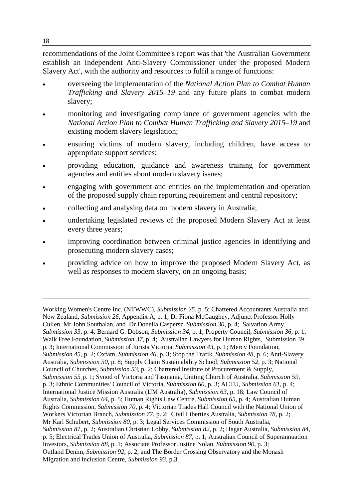recommendations of the Joint Committee's report was that 'the Australian Government establish an Independent Anti-Slavery Commissioner under the proposed Modern Slavery Act', with the authority and resources to fulfil a range of functions:

- overseeing the implementation of the *National Action Plan to Combat Human Trafficking and Slavery 2015–19* and any future plans to combat modern slavery;
- monitoring and investigating compliance of government agencies with the *National Action Plan to Combat Human Trafficking and Slavery 2015–19* and existing modern slavery legislation;
- ensuring victims of modern slavery, including children, have access to appropriate support services;
- providing education, guidance and awareness training for government agencies and entities about modern slavery issues;
- engaging with government and entities on the implementation and operation of the proposed supply chain reporting requirement and central repository;
- collecting and analysing data on modern slavery in Australia;
- undertaking legislated reviews of the proposed Modern Slavery Act at least every three years;
- improving coordination between criminal justice agencies in identifying and prosecuting modern slavery cases;
- providing advice on how to improve the proposed Modern Slavery Act, as well as responses to modern slavery, on an ongoing basis;

Working Women's Centre Inc. (NTWWC), *Submission 25*, p. 5; Chartered Accountants Australia and New Zealand, *Submission 26*, Appendix A, p. 1; Dr Fiona McGaughey, Adjunct Professor Holly Cullen, Mr John Southalan, and Dr Donella Caspersz, *Submission 30*, p. 4; Salvation Army, *Submission 33*, p. 4; Bernard G. Dobson, *Submission 34*, p. 1; Property Council, *Submission 36*, p. 1; Walk Free Foundation, *Submission 37*, p. 4; Australian Lawyers for Human Rights, Submission 39, p. 3; International Commission of Jurists Victoria, *Submission 43*, p. 1; Mercy Foundation, *Submission 45*, p. 2; Oxfam, *Submission 46*, p. 3; Stop the Trafik, *Submission 48*, p. 6; Anti-Slavery Australia, *Submission 50*, p. 8; Supply Chain Sustainability School, *Submission 52*, p. 3; National Council of Churches, *Submission 53*, p. 2; Chartered Institute of Procurement & Supply, *Submission 55*¸p. 1; Synod of Victoria and Tasmania, Uniting Church of Australia, *Submission 59*, p. 3; Ethnic Communities' Council of Victoria, *Submission 60*, p. 3; ACTU, *Submission 61*, p. 4; International Justice Mission Australia (IJM Australia), *Submission 63*, p. 18; Law Council of Australia, *Submission 64*, p. 5; Human Rights Law Centre, *Submission 65*, p. 4; Australian Human Rights Commission, *Submission 70*, p. 4; Victorian Trades Hall Council with the National Union of Workers Victorian Branch, *Submission 77*, p. 2; Civil Liberties Australia*, Submission 78*, p. 2; Mr Karl Schubert, *Submission 80*, p. 3; Legal Services Commission of South Australia, *Submission 81*, p. 2; Australian Christian Lobby, *Submission 82*, p. 2; Hagar Australia, *Submission 84*, p. 5; Electrical Trades Union of Australia, *Submission 87*, p. 1; Australian Council of Superannuation Investors, *Submission 88*, p. 1; Associate Professor Justine Nolan, *Submission 90*, p. 3; Outland Denim*, Submission 92*, p. 2; and The Border Crossing Observatory and the Monash Migration and Inclusion Centre, *Submission 93*, p.3.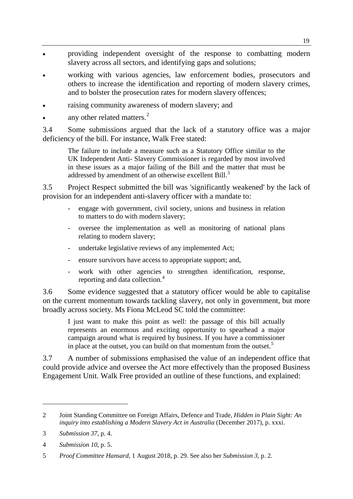- providing independent oversight of the response to combatting modern slavery across all sectors, and identifying gaps and solutions;
- working with various agencies, law enforcement bodies, prosecutors and others to increase the identification and reporting of modern slavery crimes, and to bolster the prosecution rates for modern slavery offences;
- raising community awareness of modern slavery; and
- any other related matters. $<sup>2</sup>$ </sup>

3.4 Some submissions argued that the lack of a statutory office was a major deficiency of the bill. For instance, Walk Free stated:

The failure to include a measure such as a Statutory Office similar to the UK Independent Anti- Slavery Commissioner is regarded by most involved in these issues as a major failing of the Bill and the matter that must be addressed by amendment of an otherwise excellent Bill.<sup>3</sup>

3.5 Project Respect submitted the bill was 'significantly weakened' by the lack of provision for an independent anti-slavery officer with a mandate to:

- engage with government, civil society, unions and business in relation to matters to do with modern slavery;
- oversee the implementation as well as monitoring of national plans relating to modern slavery;
- undertake legislative reviews of any implemented Act;
- ensure survivors have access to appropriate support; and,
- work with other agencies to strengthen identification, response, reporting and data collection.<sup>4</sup>

3.6 Some evidence suggested that a statutory officer would be able to capitalise on the current momentum towards tackling slavery, not only in government, but more broadly across society. Ms Fiona McLeod SC told the committee:

I just want to make this point as well: the passage of this bill actually represents an enormous and exciting opportunity to spearhead a major campaign around what is required by business. If you have a commissioner in place at the outset, you can build on that momentum from the outset.<sup>5</sup>

3.7 A number of submissions emphasised the value of an independent office that could provide advice and oversee the Act more effectively than the proposed Business Engagement Unit. Walk Free provided an outline of these functions, and explained:

<sup>2</sup> Joint Standing Committee on Foreign Affairs, Defence and Trade, *Hidden in Plain Sight: An inquiry into establishing a Modern Slavery Act in Australia* (December 2017), p. xxxi.

<sup>3</sup> *Submission 37*, p. 4.

<sup>4</sup> *Submission 10*, p. 5.

<sup>5</sup> *Proof Committee Hansard*, 1 August 2018, p. 29. See also her *Submission 3*, p. 2.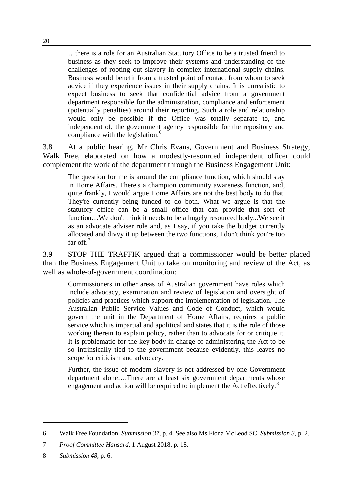…there is a role for an Australian Statutory Office to be a trusted friend to business as they seek to improve their systems and understanding of the challenges of rooting out slavery in complex international supply chains. Business would benefit from a trusted point of contact from whom to seek advice if they experience issues in their supply chains. It is unrealistic to expect business to seek that confidential advice from a government department responsible for the administration, compliance and enforcement (potentially penalties) around their reporting. Such a role and relationship would only be possible if the Office was totally separate to, and independent of, the government agency responsible for the repository and compliance with the legislation.<sup>6</sup>

3.8 At a public hearing, Mr Chris Evans, Government and Business Strategy, Walk Free, elaborated on how a modestly-resourced independent officer could complement the work of the department through the Business Engagement Unit:

The question for me is around the compliance function, which should stay in Home Affairs. There's a champion community awareness function, and, quite frankly, I would argue Home Affairs are not the best body to do that. They're currently being funded to do both. What we argue is that the statutory office can be a small office that can provide that sort of function…We don't think it needs to be a hugely resourced body...We see it as an advocate adviser role and, as I say, if you take the budget currently allocated and divvy it up between the two functions, I don't think you're too far off.<sup>7</sup>

3.9 STOP THE TRAFFIK argued that a commissioner would be better placed than the Business Engagement Unit to take on monitoring and review of the Act, as well as whole-of-government coordination:

Commissioners in other areas of Australian government have roles which include advocacy, examination and review of legislation and oversight of policies and practices which support the implementation of legislation. The Australian Public Service Values and Code of Conduct, which would govern the unit in the Department of Home Affairs, requires a public service which is impartial and apolitical and states that it is the role of those working therein to explain policy, rather than to advocate for or critique it. It is problematic for the key body in charge of administering the Act to be so intrinsically tied to the government because evidently, this leaves no scope for criticism and advocacy.

Further, the issue of modern slavery is not addressed by one Government department alone….There are at least six government departments whose engagement and action will be required to implement the Act effectively.<sup>8</sup>

<sup>6</sup> Walk Free Foundation, *Submission 37*, p. 4. See also Ms Fiona McLeod SC, *Submission 3*, p. 2.

<sup>7</sup> *Proof Committee Hansard*, 1 August 2018, p. 18.

<sup>8</sup> *Submission 48*, p. 6.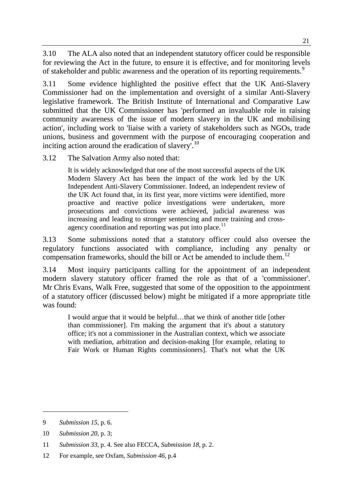3.10 The ALA also noted that an independent statutory officer could be responsible for reviewing the Act in the future, to ensure it is effective, and for monitoring levels of stakeholder and public awareness and the operation of its reporting requirements.<sup>9</sup>

3.11 Some evidence highlighted the positive effect that the UK Anti-Slavery Commissioner had on the implementation and oversight of a similar Anti-Slavery legislative framework. The British Institute of International and Comparative Law submitted that the UK Commissioner has 'performed an invaluable role in raising community awareness of the issue of modern slavery in the UK and mobilising action', including work to 'liaise with a variety of stakeholders such as NGOs, trade unions, business and government with the purpose of encouraging cooperation and inciting action around the eradication of slavery<sup>'.10</sup>

3.12 The Salvation Army also noted that:

It is widely acknowledged that one of the most successful aspects of the UK Modern Slavery Act has been the impact of the work led by the UK Independent Anti-Slavery Commissioner. Indeed, an independent review of the UK Act found that, in its first year, more victims were identified, more proactive and reactive police investigations were undertaken, more prosecutions and convictions were achieved, judicial awareness was increasing and leading to stronger sentencing and more training and crossagency coordination and reporting was put into place.<sup>11</sup>

3.13 Some submissions noted that a statutory officer could also oversee the regulatory functions associated with compliance, including any penalty or compensation frameworks, should the bill or Act be amended to include them.<sup>12</sup>

3.14 Most inquiry participants calling for the appointment of an independent modern slavery statutory officer framed the role as that of a 'commissioner'. Mr Chris Evans, Walk Free, suggested that some of the opposition to the appointment of a statutory officer (discussed below) might be mitigated if a more appropriate title was found:

I would argue that it would be helpful…that we think of another title [other than commissioner]. I'm making the argument that it's about a statutory office; it's not a commissioner in the Australian context, which we associate with mediation, arbitration and decision-making [for example, relating to Fair Work or Human Rights commissioners]. That's not what the UK

<sup>9</sup> *Submission 15*, p. 6.

<sup>10</sup> *Submission 20*, p. 3;

<sup>11</sup> *Submission 33*, p. 4. See also FECCA, *Submission 18*, p. 2.

<sup>12</sup> For example, see Oxfam, *Submission 46*, p.4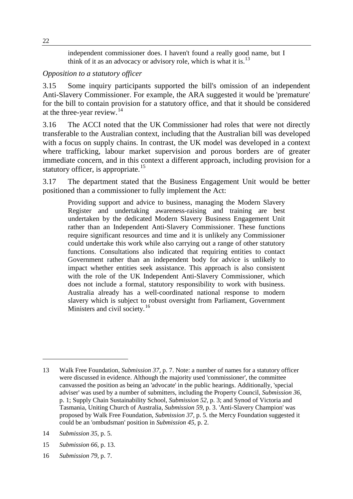independent commissioner does. I haven't found a really good name, but I think of it as an advocacy or advisory role, which is what it is.<sup>13</sup>

#### *Opposition to a statutory officer*

3.15 Some inquiry participants supported the bill's omission of an independent Anti-Slavery Commissioner. For example, the ARA suggested it would be 'premature' for the bill to contain provision for a statutory office, and that it should be considered at the three-year review. $14$ 

3.16 The ACCI noted that the UK Commissioner had roles that were not directly transferable to the Australian context, including that the Australian bill was developed with a focus on supply chains. In contrast, the UK model was developed in a context where trafficking, labour market supervision and porous borders are of greater immediate concern, and in this context a different approach, including provision for a statutory officer, is appropriate.<sup>15</sup>

3.17 The department stated that the Business Engagement Unit would be better positioned than a commissioner to fully implement the Act:

Providing support and advice to business, managing the Modern Slavery Register and undertaking awareness-raising and training are best undertaken by the dedicated Modern Slavery Business Engagement Unit rather than an Independent Anti-Slavery Commissioner. These functions require significant resources and time and it is unlikely any Commissioner could undertake this work while also carrying out a range of other statutory functions. Consultations also indicated that requiring entities to contact Government rather than an independent body for advice is unlikely to impact whether entities seek assistance. This approach is also consistent with the role of the UK Independent Anti-Slavery Commissioner, which does not include a formal, statutory responsibility to work with business. Australia already has a well-coordinated national response to modern slavery which is subject to robust oversight from Parliament, Government Ministers and civil society.<sup>16</sup>

- 15 *Submission 66*, p. 13.
- 16 *Submission 79*, p. 7.

<sup>13</sup> Walk Free Foundation, *Submission 37*, p. 7. Note: a number of names for a statutory officer were discussed in evidence. Although the majority used 'commissioner', the committee canvassed the position as being an 'advocate' in the public hearings. Additionally, 'special adviser' was used by a number of submitters, including the Property Council, *Submission 36*, p. 1; Supply Chain Sustainability School, *Submission 52*, p. 3; and Synod of Victoria and Tasmania, Uniting Church of Australia, *Submission 59*, p. 3. 'Anti-Slavery Champion' was proposed by Walk Free Foundation, *Submission 37*, p. 5. the Mercy Foundation suggested it could be an 'ombudsman' position in *Submission 45*, p. 2.

<sup>14</sup> *Submission 35*, p. 5.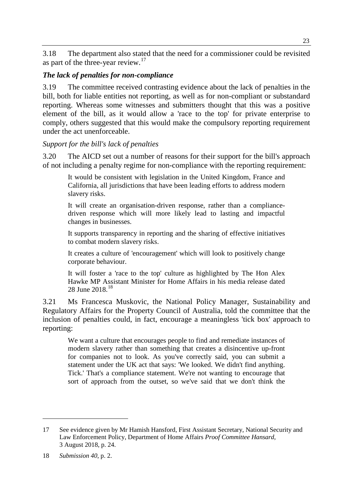3.18 The department also stated that the need for a commissioner could be revisited as part of the three-year review.<sup>17</sup>

#### *The lack of penalties for non-compliance*

3.19 The committee received contrasting evidence about the lack of penalties in the bill, both for liable entities not reporting, as well as for non-compliant or substandard reporting. Whereas some witnesses and submitters thought that this was a positive element of the bill, as it would allow a 'race to the top' for private enterprise to comply, others suggested that this would make the compulsory reporting requirement under the act unenforceable.

## *Support for the bill's lack of penalties*

3.20 The AICD set out a number of reasons for their support for the bill's approach of not including a penalty regime for non-compliance with the reporting requirement:

It would be consistent with legislation in the United Kingdom, France and California, all jurisdictions that have been leading efforts to address modern slavery risks.

It will create an organisation-driven response, rather than a compliancedriven response which will more likely lead to lasting and impactful changes in businesses.

It supports transparency in reporting and the sharing of effective initiatives to combat modern slavery risks.

It creates a culture of 'encouragement' which will look to positively change corporate behaviour.

It will foster a 'race to the top' culture as highlighted by The Hon Alex Hawke MP Assistant Minister for Home Affairs in his media release dated 28 June 2018.<sup>18</sup>

3.21 Ms Francesca Muskovic, the National Policy Manager, Sustainability and Regulatory Affairs for the Property Council of Australia, told the committee that the inclusion of penalties could, in fact, encourage a meaningless 'tick box' approach to reporting:

We want a culture that encourages people to find and remediate instances of modern slavery rather than something that creates a disincentive up-front for companies not to look. As you've correctly said, you can submit a statement under the UK act that says: 'We looked. We didn't find anything. Tick.' That's a compliance statement. We're not wanting to encourage that sort of approach from the outset, so we've said that we don't think the

<sup>17</sup> See evidence given by Mr Hamish Hansford, First Assistant Secretary, National Security and Law Enforcement Policy, Department of Home Affairs *Proof Committee Hansard*, 3 August 2018, p. 24.

<sup>18</sup> *Submission 40*, p. 2.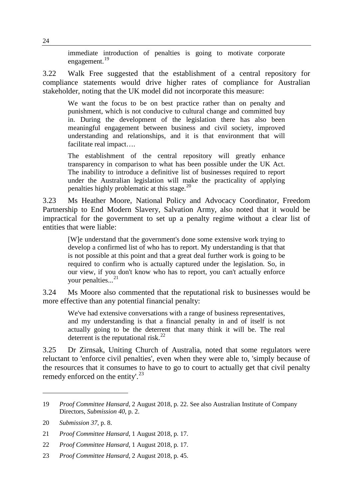immediate introduction of penalties is going to motivate corporate engagement.<sup>19</sup>

3.22 Walk Free suggested that the establishment of a central repository for compliance statements would drive higher rates of compliance for Australian stakeholder, noting that the UK model did not incorporate this measure:

We want the focus to be on best practice rather than on penalty and punishment, which is not conducive to cultural change and committed buy in. During the development of the legislation there has also been meaningful engagement between business and civil society, improved understanding and relationships, and it is that environment that will facilitate real impact….

The establishment of the central repository will greatly enhance transparency in comparison to what has been possible under the UK Act. The inability to introduce a definitive list of businesses required to report under the Australian legislation will make the practicality of applying penalties highly problematic at this stage.<sup>20</sup>

3.23 Ms Heather Moore, National Policy and Advocacy Coordinator, Freedom Partnership to End Modern Slavery, Salvation Army, also noted that it would be impractical for the government to set up a penalty regime without a clear list of entities that were liable:

[W]e understand that the government's done some extensive work trying to develop a confirmed list of who has to report. My understanding is that that is not possible at this point and that a great deal further work is going to be required to confirm who is actually captured under the legislation. So, in our view, if you don't know who has to report, you can't actually enforce your penalties... 21

3.24 Ms Moore also commented that the reputational risk to businesses would be more effective than any potential financial penalty:

We've had extensive conversations with a range of business representatives, and my understanding is that a financial penalty in and of itself is not actually going to be the deterrent that many think it will be. The real deterrent is the reputational risk.<sup>22</sup>

3.25 Dr Zirnsak, Uniting Church of Australia, noted that some regulators were reluctant to 'enforce civil penalties', even when they were able to, 'simply because of the resources that it consumes to have to go to court to actually get that civil penalty remedy enforced on the entity'.<sup>23</sup>

<sup>19</sup> *Proof Committee Hansard*, 2 August 2018, p. 22. See also Australian Institute of Company Directors, *Submission 40*, p. 2.

<sup>20</sup> *Submission 37*, p. 8.

<sup>21</sup> *Proof Committee Hansard*, 1 August 2018, p. 17.

<sup>22</sup> *Proof Committee Hansard*, 1 August 2018, p. 17.

<sup>23</sup> *Proof Committee Hansard*, 2 August 2018, p. 45.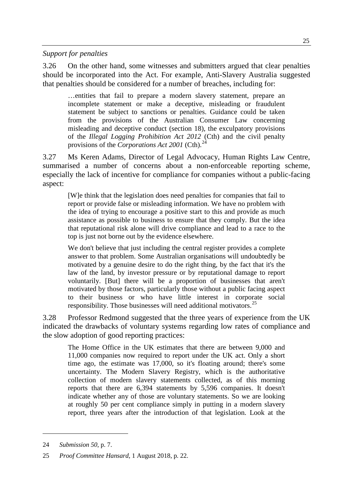*Support for penalties*

3.26 On the other hand, some witnesses and submitters argued that clear penalties should be incorporated into the Act. For example, Anti-Slavery Australia suggested that penalties should be considered for a number of breaches, including for:

…entities that fail to prepare a modern slavery statement, prepare an incomplete statement or make a deceptive, misleading or fraudulent statement be subject to sanctions or penalties. Guidance could be taken from the provisions of the Australian Consumer Law concerning misleading and deceptive conduct (section 18), the exculpatory provisions of the *Illegal Logging Prohibition Act 2012* (Cth) and the civil penalty provisions of the *Corporations Act 2001* (Cth).<sup>24</sup>

3.27 Ms Keren Adams, Director of Legal Advocacy, Human Rights Law Centre, summarised a number of concerns about a non-enforceable reporting scheme, especially the lack of incentive for compliance for companies without a public-facing aspect:

[W]e think that the legislation does need penalties for companies that fail to report or provide false or misleading information. We have no problem with the idea of trying to encourage a positive start to this and provide as much assistance as possible to business to ensure that they comply. But the idea that reputational risk alone will drive compliance and lead to a race to the top is just not borne out by the evidence elsewhere.

We don't believe that just including the central register provides a complete answer to that problem. Some Australian organisations will undoubtedly be motivated by a genuine desire to do the right thing, by the fact that it's the law of the land, by investor pressure or by reputational damage to report voluntarily. [But] there will be a proportion of businesses that aren't motivated by those factors, particularly those without a public facing aspect to their business or who have little interest in corporate social responsibility. Those businesses will need additional motivators.<sup>25</sup>

3.28 Professor Redmond suggested that the three years of experience from the UK indicated the drawbacks of voluntary systems regarding low rates of compliance and the slow adoption of good reporting practices:

The Home Office in the UK estimates that there are between 9,000 and 11,000 companies now required to report under the UK act. Only a short time ago, the estimate was 17,000, so it's floating around; there's some uncertainty. The Modern Slavery Registry, which is the authoritative collection of modern slavery statements collected, as of this morning reports that there are 6,394 statements by 5,596 companies. It doesn't indicate whether any of those are voluntary statements. So we are looking at roughly 50 per cent compliance simply in putting in a modern slavery report, three years after the introduction of that legislation. Look at the

<sup>24</sup> *Submission 50*, p. 7.

<sup>25</sup> *Proof Committee Hansard*, 1 August 2018, p. 22.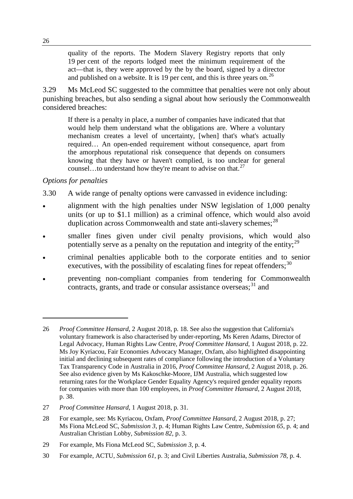quality of the reports. The Modern Slavery Registry reports that only 19 per cent of the reports lodged meet the minimum requirement of the act—that is, they were approved by the by the board, signed by a director and published on a website. It is 19 per cent, and this is three years on.<sup>26</sup>

3.29 Ms McLeod SC suggested to the committee that penalties were not only about punishing breaches, but also sending a signal about how seriously the Commonwealth considered breaches:

If there is a penalty in place, a number of companies have indicated that that would help them understand what the obligations are. Where a voluntary mechanism creates a level of uncertainty, [when] that's what's actually required… An open-ended requirement without consequence, apart from the amorphous reputational risk consequence that depends on consumers knowing that they have or haven't complied, is too unclear for general counsel…to understand how they're meant to advise on that.<sup>27</sup>

#### *Options for penalties*

- 3.30 A wide range of penalty options were canvassed in evidence including:
- alignment with the high penalties under NSW legislation of 1,000 penalty units (or up to \$1.1 million) as a criminal offence, which would also avoid duplication across Commonwealth and state anti-slavery schemes; $^{28}$
- smaller fines given under civil penalty provisions, which would also potentially serve as a penalty on the reputation and integrity of the entity;  $^{29}$
- criminal penalties applicable both to the corporate entities and to senior executives, with the possibility of escalating fines for repeat offenders;  $30$
- preventing non-compliant companies from tendering for Commonwealth contracts, grants, and trade or consular assistance overseas;  $31$  and

<sup>26</sup> *Proof Committee Hansard*, 2 August 2018, p. 18. See also the suggestion that California's voluntary framework is also characterised by under-reporting, Ms Keren Adams, Director of Legal Advocacy, Human Rights Law Centre, *Proof Committee Hansard*, 1 August 2018, p. 22. Ms Joy Kyriacou, Fair Economies Advocacy Manager, Oxfam, also highlighted disappointing initial and declining subsequent rates of compliance following the introduction of a Voluntary Tax Transparency Code in Australia in 2016, *Proof Committee Hansard*, 2 August 2018, p. 26. See also evidence given by Ms Kakoschke-Moore, IJM Australia, which suggested low returning rates for the Workplace Gender Equality Agency's required gender equality reports for companies with more than 100 employees, in *Proof Committee Hansard*, 2 August 2018, p. 38.

<sup>27</sup> *Proof Committee Hansard*, 1 August 2018, p. 31.

<sup>28</sup> For example, see: Ms Kyriacou, Oxfam, *Proof Committee Hansard*, 2 August 2018, p. 27; Ms Fiona McLeod SC, *Submission 3*, p. 4; Human Rights Law Centre, *Submission 65*, p. 4; and Australian Christian Lobby*, Submission 82*, p. 3.

<sup>29</sup> For example, Ms Fiona McLeod SC, *Submission 3*, p. 4.

<sup>30</sup> For example, ACTU, *Submission 61*, p. 3; and Civil Liberties Australia, *Submission 78*, p. 4.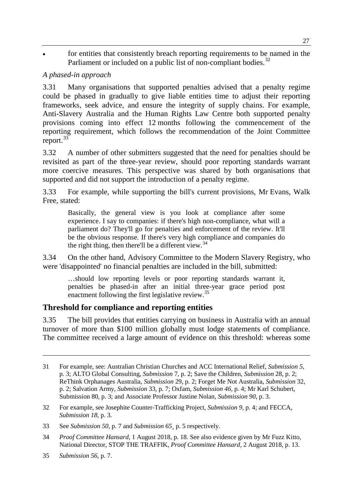• for entities that consistently breach reporting requirements to be named in the Parliament or included on a public list of non-compliant bodies.<sup>32</sup>

## *A phased-in approach*

3.31 Many organisations that supported penalties advised that a penalty regime could be phased in gradually to give liable entities time to adjust their reporting frameworks, seek advice, and ensure the integrity of supply chains. For example, Anti-Slavery Australia and the Human Rights Law Centre both supported penalty provisions coming into effect 12 months following the commencement of the reporting requirement, which follows the recommendation of the Joint Committee report.<sup>33</sup>

3.32 A number of other submitters suggested that the need for penalties should be revisited as part of the three-year review, should poor reporting standards warrant more coercive measures. This perspective was shared by both organisations that supported and did not support the introduction of a penalty regime.

3.33 For example, while supporting the bill's current provisions, Mr Evans, Walk Free, stated:

Basically, the general view is you look at compliance after some experience. I say to companies: if there's high non-compliance, what will a parliament do? They'll go for penalties and enforcement of the review. It'll be the obvious response. If there's very high compliance and companies do the right thing, then there'll be a different view.  $34$ 

3.34 On the other hand, Advisory Committee to the Modern Slavery Registry, who were 'disappointed' no financial penalties are included in the bill, submitted:

…should low reporting levels or poor reporting standards warrant it, penalties be phased-in after an initial three-year grace period post enactment following the first legislative review.<sup>35</sup>

## **Threshold for compliance and reporting entities**

3.35 The bill provides that entities carrying on business in Australia with an annual turnover of more than \$100 million globally must lodge statements of compliance. The committee received a large amount of evidence on this threshold: whereas some

32 For example, see Josephite Counter-Trafficking Project, *Submission 9*, p. 4; and FECCA, *Submission 18*, p. 3.

<sup>31</sup> For example, see: Australian Christian Churches and ACC International Relief, *Submission 5*, p. 3; ALTO Global Consulting, *Submission* 7, p. 2; Save the Children, *Submission* 28, p. 2; ReThink Orphanages Australia, *Submission* 29, p. 2; Forget Me Not Australia, *Submission* 32, p. 2; Salvation Army, *Submission* 33, p. 7; Oxfam, *Submission 46,* p. 4; Mr Karl Schubert, Submission 80, p. 3; and Associate Professor Justine Nolan, *Submission 90*, p. 3.

<sup>33</sup> See *Submission 50*, p. 7 and *Submission 65¸* p. 5 respectively.

<sup>34</sup> *Proof Committee Hansard*, 1 August 2018, p. 18. See also evidence given by Mr Fuzz Kitto, National Director, STOP THE TRAFFIK, *Proof Committee Hansard*, 2 August 2018, p. 13.

<sup>35</sup> *Submission 56*, p. 7.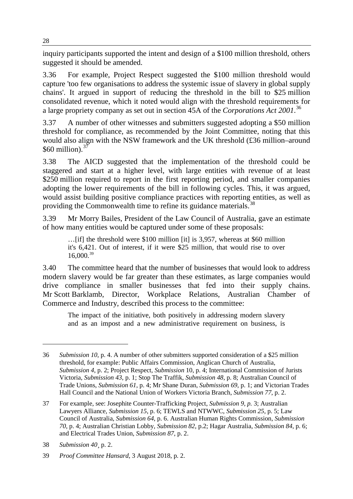inquiry participants supported the intent and design of a \$100 million threshold, others suggested it should be amended.

3.36 For example, Project Respect suggested the \$100 million threshold would capture 'too few organisations to address the systemic issue of slavery in global supply chains'. It argued in support of reducing the threshold in the bill to \$25 million consolidated revenue, which it noted would align with the threshold requirements for a large propriety company as set out in section 45A of the *Corporations Act 2001*. 36

3.37 A number of other witnesses and submitters suggested adopting a \$50 million threshold for compliance, as recommended by the Joint Committee, noting that this would also align with the NSW framework and the UK threshold (£36 million–around \$60 million). $37$ 

3.38 The AICD suggested that the implementation of the threshold could be staggered and start at a higher level, with large entities with revenue of at least \$250 million required to report in the first reporting period, and smaller companies adopting the lower requirements of the bill in following cycles. This, it was argued, would assist building positive compliance practices with reporting entities, as well as providing the Commonwealth time to refine its guidance materials.<sup>38</sup>

3.39 Mr Morry Bailes, President of the Law Council of Australia, gave an estimate of how many entities would be captured under some of these proposals:

…[if] the threshold were \$100 million [it] is 3,957, whereas at \$60 million it's 6,421. Out of interest, if it were \$25 million, that would rise to over  $16,000.^{39}$ 

3.40 The committee heard that the number of businesses that would look to address modern slavery would be far greater than these estimates, as large companies would drive compliance in smaller businesses that fed into their supply chains. Mr Scott Barklamb, Director, Workplace Relations, Australian Chamber of Commerce and Industry, described this process to the committee:

The impact of the initiative, both positively in addressing modern slavery and as an impost and a new administrative requirement on business, is

<sup>36</sup> *Submission 10*, p. 4. A number of other submitters supported consideration of a \$25 million threshold, for example: Public Affairs Commission, Anglican Church of Australia, *Submission 4*, p. 2; Project Respect, *Submission* 10, p. 4; International Commission of Jurists Victoria, *Submission 43*, p. 1; Stop The Traffik, *Submission 48*, p. 8; Australian Council of Trade Unions, *Submission 61*, p. 4; Mr Shane Duran, *Submission 69*, p. 1; and Victorian Trades Hall Council and the National Union of Workers Victoria Branch, *Submission 77*, p. 2.

<sup>37</sup> For example, see: Josephite Counter-Trafficking Project, *Submission 9, p.* 3; Australian Lawyers Alliance, *Submission 15*, p. 6; TEWLS and NTWWC, *Submission 25*, p. 5; Law Council of Australia, *Submission 64*, p. 6. Australian Human Rights Commission, *Submission 70*, p. 4; Australian Christian Lobby*, Submission 82*, p.2; Hagar Australia, *Submission 84*, p. 6; and Electrical Trades Union, *Submission 87*, p. 2.

<sup>38</sup> *Submission 40*¸ p. 2.

<sup>39</sup> *Proof Committee Hansard*, 3 August 2018, p. 2.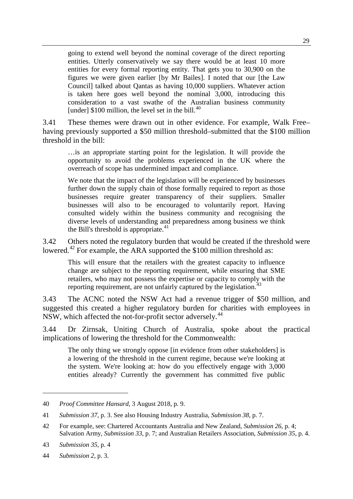going to extend well beyond the nominal coverage of the direct reporting entities. Utterly conservatively we say there would be at least 10 more entities for every formal reporting entity. That gets you to 30,900 on the figures we were given earlier [by Mr Bailes]. I noted that our [the Law Council] talked about Qantas as having 10,000 suppliers. Whatever action is taken here goes well beyond the nominal 3,000, introducing this consideration to a vast swathe of the Australian business community [under]  $$100$  million, the level set in the bill.<sup>40</sup>

3.41 These themes were drawn out in other evidence. For example, Walk Free– having previously supported a \$50 million threshold–submitted that the \$100 million threshold in the bill:

…is an appropriate starting point for the legislation. It will provide the opportunity to avoid the problems experienced in the UK where the overreach of scope has undermined impact and compliance.

We note that the impact of the legislation will be experienced by businesses further down the supply chain of those formally required to report as those businesses require greater transparency of their suppliers. Smaller businesses will also to be encouraged to voluntarily report. Having consulted widely within the business community and recognising the diverse levels of understanding and preparedness among business we think the Bill's threshold is appropriate. $41$ 

3.42 Others noted the regulatory burden that would be created if the threshold were lowered.<sup>42</sup> For example, the ARA supported the \$100 million threshold as:

This will ensure that the retailers with the greatest capacity to influence change are subject to the reporting requirement, while ensuring that SME retailers, who may not possess the expertise or capacity to comply with the reporting requirement, are not unfairly captured by the legislation.<sup>4</sup>

3.43 The ACNC noted the NSW Act had a revenue trigger of \$50 million, and suggested this created a higher regulatory burden for charities with employees in NSW, which affected the not-for-profit sector adversely.<sup>44</sup>

3.44 Dr Zirnsak, Uniting Church of Australia, spoke about the practical implications of lowering the threshold for the Commonwealth:

The only thing we strongly oppose [in evidence from other stakeholders] is a lowering of the threshold in the current regime, because we're looking at the system. We're looking at: how do you effectively engage with 3,000 entities already? Currently the government has committed five public

<sup>40</sup> *Proof Committee Hansard*, 3 August 2018, p. 9.

<sup>41</sup> *Submission 37*, p. 3. See also Housing Industry Australia, *Submission 38*, p. 7.

<sup>42</sup> For example, see: Chartered Accountants Australia and New Zealand, *Submission 26*, p. 4; Salvation Army, *Submission 33*, p. 7; and Australian Retailers Association, *Submission 35*, p. 4.

<sup>43</sup> *Submission 35*, p. 4

<sup>44</sup> *Submission 2*, p. 3.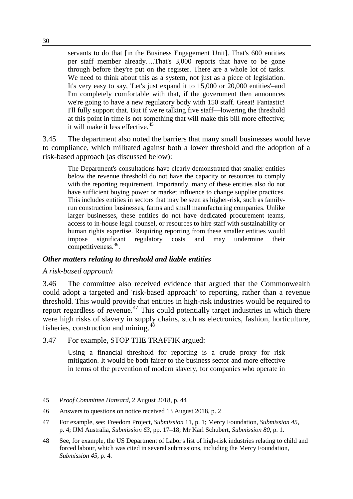servants to do that [in the Business Engagement Unit]. That's 600 entities per staff member already….That's 3,000 reports that have to be gone through before they're put on the register. There are a whole lot of tasks. We need to think about this as a system, not just as a piece of legislation. It's very easy to say, 'Let's just expand it to 15,000 or 20,000 entities'–and I'm completely comfortable with that, if the government then announces we're going to have a new regulatory body with 150 staff. Great! Fantastic! I'll fully support that. But if we're talking five staff—lowering the threshold at this point in time is not something that will make this bill more effective; it will make it less effective.<sup>45</sup>

3.45 The department also noted the barriers that many small businesses would have to compliance, which militated against both a lower threshold and the adoption of a risk-based approach (as discussed below):

The Department's consultations have clearly demonstrated that smaller entities below the revenue threshold do not have the capacity or resources to comply with the reporting requirement. Importantly, many of these entities also do not have sufficient buying power or market influence to change supplier practices. This includes entities in sectors that may be seen as higher-risk, such as familyrun construction businesses, farms and small manufacturing companies. Unlike larger businesses, these entities do not have dedicated procurement teams, access to in-house legal counsel, or resources to hire staff with sustainability or human rights expertise. Requiring reporting from these smaller entities would impose significant regulatory costs and may undermine their competitiveness. 46.

#### *Other matters relating to threshold and liable entities*

#### *A risk-based approach*

-

3.46 The committee also received evidence that argued that the Commonwealth could adopt a targeted and 'risk-based approach' to reporting, rather than a revenue threshold. This would provide that entities in high-risk industries would be required to report regardless of revenue.<sup>47</sup> This could potentially target industries in which there were high risks of slavery in supply chains, such as electronics, fashion, horticulture, fisheries, construction and mining.<sup>48</sup>

3.47 For example, STOP THE TRAFFIK argued:

Using a financial threshold for reporting is a crude proxy for risk mitigation. It would be both fairer to the business sector and more effective in terms of the prevention of modern slavery, for companies who operate in

<sup>45</sup> *Proof Committee Hansard*, 2 August 2018, p. 44

<sup>46</sup> Answers to questions on notice received 13 August 2018, p. 2

<sup>47</sup> For example, see: Freedom Project, *Submission* 11, p. 1; Mercy Foundation, *Submission 45*, p. 4; IJM Australia, *Submission 63*, pp. 17–18; Mr Karl Schubert*, Submission 80*, p. 1.

<sup>48</sup> See, for example, the US Department of Labor's list of high-risk industries relating to child and forced labour, which was cited in several submissions, including the Mercy Foundation, *Submission 45*, p. 4.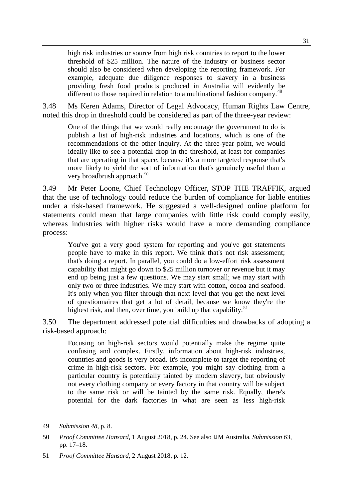high risk industries or source from high risk countries to report to the lower threshold of \$25 million. The nature of the industry or business sector should also be considered when developing the reporting framework. For example, adequate due diligence responses to slavery in a business providing fresh food products produced in Australia will evidently be different to those required in relation to a multinational fashion company.<sup>49</sup>

3.48 Ms Keren Adams, Director of Legal Advocacy, Human Rights Law Centre, noted this drop in threshold could be considered as part of the three-year review:

One of the things that we would really encourage the government to do is publish a list of high-risk industries and locations, which is one of the recommendations of the other inquiry. At the three-year point, we would ideally like to see a potential drop in the threshold, at least for companies that are operating in that space, because it's a more targeted response that's more likely to yield the sort of information that's genuinely useful than a very broadbrush approach.<sup>50</sup>

3.49 Mr Peter Loone, Chief Technology Officer, STOP THE TRAFFIK, argued that the use of technology could reduce the burden of compliance for liable entities under a risk-based framework. He suggested a well-designed online platform for statements could mean that large companies with little risk could comply easily, whereas industries with higher risks would have a more demanding compliance process:

You've got a very good system for reporting and you've got statements people have to make in this report. We think that's not risk assessment; that's doing a report. In parallel, you could do a low-effort risk assessment capability that might go down to \$25 million turnover or revenue but it may end up being just a few questions. We may start small; we may start with only two or three industries. We may start with cotton, cocoa and seafood. It's only when you filter through that next level that you get the next level of questionnaires that get a lot of detail, because we know they're the highest risk, and then, over time, you build up that capability.<sup>51</sup>

3.50 The department addressed potential difficulties and drawbacks of adopting a risk-based approach:

Focusing on high-risk sectors would potentially make the regime quite confusing and complex. Firstly, information about high-risk industries, countries and goods is very broad. It's incomplete to target the reporting of crime in high-risk sectors. For example, you might say clothing from a particular country is potentially tainted by modern slavery, but obviously not every clothing company or every factory in that country will be subject to the same risk or will be tainted by the same risk. Equally, there's potential for the dark factories in what are seen as less high-risk

<sup>49</sup> *Submission 48*, p. 8.

<sup>50</sup> *Proof Committee Hansard*, 1 August 2018, p. 24. See also IJM Australia, *Submission 63*, pp. 17–18.

<sup>51</sup> *Proof Committee Hansard*, 2 August 2018, p. 12.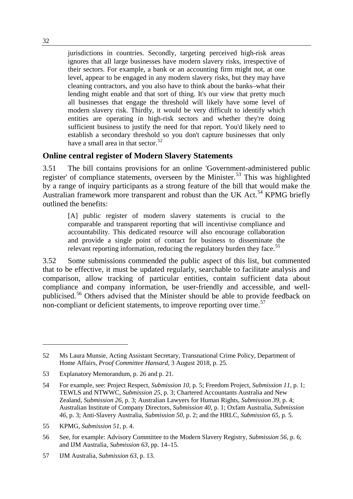jurisdictions in countries. Secondly, targeting perceived high-risk areas ignores that all large businesses have modern slavery risks, irrespective of their sectors. For example, a bank or an accounting firm might not, at one level, appear to be engaged in any modern slavery risks, but they may have cleaning contractors, and you also have to think about the banks–what their lending might enable and that sort of thing. It's our view that pretty much all businesses that engage the threshold will likely have some level of modern slavery risk. Thirdly, it would be very difficult to identify which entities are operating in high-risk sectors and whether they're doing sufficient business to justify the need for that report. You'd likely need to establish a secondary threshold so you don't capture businesses that only have a small area in that sector.<sup>52</sup>

#### **Online central register of Modern Slavery Statements**

3.51 The bill contains provisions for an online 'Government-administered public register' of compliance statements, overseen by the Minister.<sup>53</sup> This was highlighted by a range of inquiry participants as a strong feature of the bill that would make the Australian framework more transparent and robust than the UK Act.<sup>54</sup> KPMG briefly outlined the benefits:

[A] public register of modern slavery statements is crucial to the comparable and transparent reporting that will incentivise compliance and accountability. This dedicated resource will also encourage collaboration and provide a single point of contact for business to disseminate the relevant reporting information, reducing the regulatory burden they face.<sup>55</sup>

3.52 Some submissions commended the public aspect of this list, but commented that to be effective, it must be updated regularly, searchable to facilitate analysis and comparison, allow tracking of particular entities, contain sufficient data about compliance and company information, be user-friendly and accessible, and wellpublicised.<sup>56</sup> Others advised that the Minister should be able to provide feedback on non-compliant or deficient statements, to improve reporting over time.<sup>57</sup>

<sup>52</sup> Ms Laura Munsie, Acting Assistant Secretary, Transnational Crime Policy, Department of Home Affairs, *Proof Committee Hansard*, 3 August 2018, p. 25.

<sup>53</sup> Explanatory Memorandum, p. 26 and p. 21.

<sup>54</sup> For example, see: Project Respect, *Submission 10*, p. 5; Freedom Project, *Submission 11*, p. 1; TEWLS and NTWWC, *Submission 25*, p. 3; Chartered Accountants Australia and New Zealand, *Submission 26*, p. 3; Australian Lawyers for Human Rights, *Submission 39*, p. 4; Australian Institute of Company Directors, *Submission 40*, p. 1; Oxfam Australia, *Submission 46*, p. 3; Anti-Slavery Australia, *Submission 50*, p. 2; and the HRLC, *Submission 65*, p. 5.

<sup>55</sup> KPMG*, Submission 51*, p. 4.

<sup>56</sup> See, for example: Advisory Committee to the Modern Slavery Registry, *Submission 56*, p. 6; and IJM Australia, *Submission 63*, pp. 14–15.

<sup>57</sup> IJM Australia, *Submission 63*, p. 13.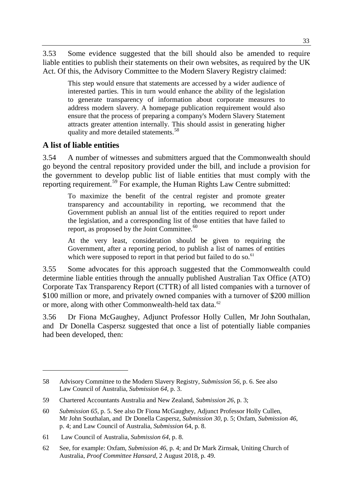3.53 Some evidence suggested that the bill should also be amended to require liable entities to publish their statements on their own websites, as required by the UK Act. Of this, the Advisory Committee to the Modern Slavery Registry claimed:

This step would ensure that statements are accessed by a wider audience of interested parties. This in turn would enhance the ability of the legislation to generate transparency of information about corporate measures to address modern slavery. A homepage publication requirement would also ensure that the process of preparing a company's Modern Slavery Statement attracts greater attention internally. This should assist in generating higher quality and more detailed statements.<sup>58</sup>

## **A list of liable entities**

-

3.54 A number of witnesses and submitters argued that the Commonwealth should go beyond the central repository provided under the bill, and include a provision for the government to develop public list of liable entities that must comply with the reporting requirement.<sup>59</sup> For example, the Human Rights Law Centre submitted:

To maximize the benefit of the central register and promote greater transparency and accountability in reporting, we recommend that the Government publish an annual list of the entities required to report under the legislation, and a corresponding list of those entities that have failed to report, as proposed by the Joint Committee.<sup>60</sup>

At the very least, consideration should be given to requiring the Government, after a reporting period, to publish a list of names of entities which were supposed to report in that period but failed to do so. $<sup>61</sup>$ </sup>

3.55 Some advocates for this approach suggested that the Commonwealth could determine liable entities through the annually published Australian Tax Office (ATO) Corporate Tax Transparency Report (CTTR) of all listed companies with a turnover of \$100 million or more, and privately owned companies with a turnover of \$200 million or more, along with other Commonwealth-held tax data.<sup>62</sup>

3.56 Dr Fiona McGaughey, Adjunct Professor Holly Cullen, Mr John Southalan, and Dr Donella Caspersz suggested that once a list of potentially liable companies had been developed, then:

<sup>58</sup> Advisory Committee to the Modern Slavery Registry, *Submission 56*, p. 6. See also Law Council of Australia, *Submission 64*, p. 3.

<sup>59</sup> Chartered Accountants Australia and New Zealand, *Submission 26*, p. 3;

<sup>60</sup> *Submission 65*, p. 5. See also Dr Fiona McGaughey, Adjunct Professor Holly Cullen, Mr John Southalan, and Dr Donella Caspersz, *Submission 30*, p. 5; Oxfam*, Submission 46*, p. 4; and Law Council of Australia, *Submission* 64, p. 8.

<sup>61</sup> Law Council of Australia, *Submission 64*, p. 8.

<sup>62</sup> See, for example: Oxfam, *Submission 46*, p. 4; and Dr Mark Zirnsak, Uniting Church of Australia, *Proof Committee Hansard*, 2 August 2018, p. 49.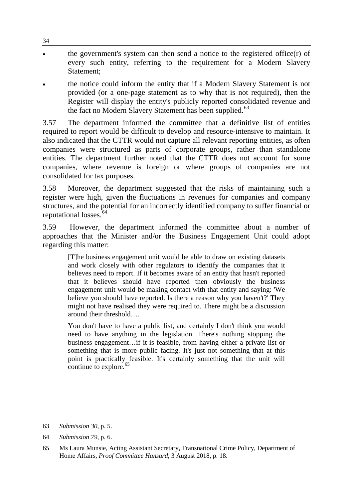- the government's system can then send a notice to the registered office $(r)$  of every such entity, referring to the requirement for a Modern Slavery Statement;
- the notice could inform the entity that if a Modern Slavery Statement is not provided (or a one-page statement as to why that is not required), then the Register will display the entity's publicly reported consolidated revenue and the fact no Modern Slavery Statement has been supplied.<sup>63</sup>

3.57 The department informed the committee that a definitive list of entities required to report would be difficult to develop and resource-intensive to maintain. It also indicated that the CTTR would not capture all relevant reporting entities, as often companies were structured as parts of corporate groups, rather than standalone entities. The department further noted that the CTTR does not account for some companies, where revenue is foreign or where groups of companies are not consolidated for tax purposes.

3.58 Moreover, the department suggested that the risks of maintaining such a register were high, given the fluctuations in revenues for companies and company structures, and the potential for an incorrectly identified company to suffer financial or reputational losses. $64$ 

3.59 However, the department informed the committee about a number of approaches that the Minister and/or the Business Engagement Unit could adopt regarding this matter:

[T]he business engagement unit would be able to draw on existing datasets and work closely with other regulators to identify the companies that it believes need to report. If it becomes aware of an entity that hasn't reported that it believes should have reported then obviously the business engagement unit would be making contact with that entity and saying: 'We believe you should have reported. Is there a reason why you haven't?' They might not have realised they were required to. There might be a discussion around their threshold….

You don't have to have a public list, and certainly I don't think you would need to have anything in the legislation. There's nothing stopping the business engagement…if it is feasible, from having either a private list or something that is more public facing. It's just not something that at this point is practically feasible. It's certainly something that the unit will continue to explore.<sup>65</sup>

-

34

<sup>63</sup> *Submission 30*, p. 5.

<sup>64</sup> *Submission 79*, p. 6.

<sup>65</sup> Ms Laura Munsie, Acting Assistant Secretary, Transnational Crime Policy, Department of Home Affairs, *Proof Committee Hansard*, 3 August 2018, p. 18.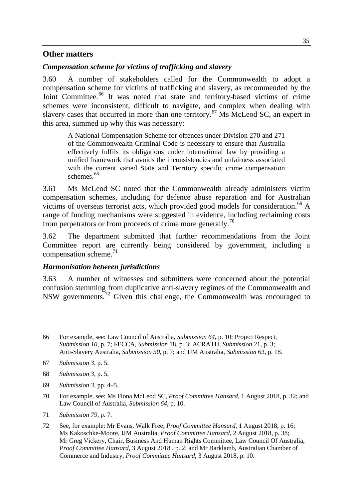#### **Other matters**

#### *Compensation scheme for victims of trafficking and slavery*

3.60 A number of stakeholders called for the Commonwealth to adopt a compensation scheme for victims of trafficking and slavery, as recommended by the Joint Committee.<sup>66</sup> It was noted that state and territory-based victims of crime schemes were inconsistent, difficult to navigate, and complex when dealing with slavery cases that occurred in more than one territory.<sup>67</sup> Ms McLeod SC, an expert in this area, summed up why this was necessary:

A National Compensation Scheme for offences under Division 270 and 271 of the Commonwealth Criminal Code is necessary to ensure that Australia effectively fulfils its obligations under international law by providing a unified framework that avoids the inconsistencies and unfairness associated with the current varied State and Territory specific crime compensation schemes.<sup>68</sup>

3.61 Ms McLeod SC noted that the Commonwealth already administers victim compensation schemes, including for defence abuse reparation and for Australian victims of overseas terrorist acts, which provided good models for consideration.<sup>69</sup> A range of funding mechanisms were suggested in evidence, including reclaiming costs from perpetrators or from proceeds of crime more generally.<sup>70</sup>

3.62 The department submitted that further recommendations from the Joint Committee report are currently being considered by government, including a compensation scheme.<sup>71</sup>

#### *Harmonisation between jurisdictions*

3.63 A number of witnesses and submitters were concerned about the potential confusion stemming from duplicative anti-slavery regimes of the Commonwealth and NSW governments.<sup>72</sup> Given this challenge, the Commonwealth was encouraged to

67 *Submission 3*, p. 5.

- 68 *Submission 3*, p. 5.
- 69 *Submission 3*, pp. 4–5.
- 70 For example, see: Ms Fiona McLeod SC, *Proof Committee Hansard*, 1 August 2018, p. 32; and Law Council of Australia, *Submission 64*, p. 10.
- 71 *Submission 79*, p. 7.

<sup>66</sup> For example, see: Law Council of Australia, *Submission 64*, p. 10; Project Respect, *Submission 10*, p. 7; FECCA, *Submission* 18, p. 3; ACRATH, *Submission* 21, p. 3; Anti-Slavery Australia, *Submission 50*, p. 7; and IJM Australia, *Submission* 63, p. 18.

<sup>72</sup> See, for example: Mr Evans, Walk Free, *Proof Committee Hansard*, 1 August 2018, p. 16; Ms Kakoschke-Moore, IJM Australia, *Proof Committee Hansard*, 2 August 2018, p. 38; Mr Greg Vickery, Chair, Business And Human Rights Committee, Law Council Of Australia, *Proof Committee Hansard*, 3 August 2018 , p. 2; and Mr Barklamb, Australian Chamber of Commerce and Industry, *Proof Committee Hansard*, 3 August 2018, p. 10.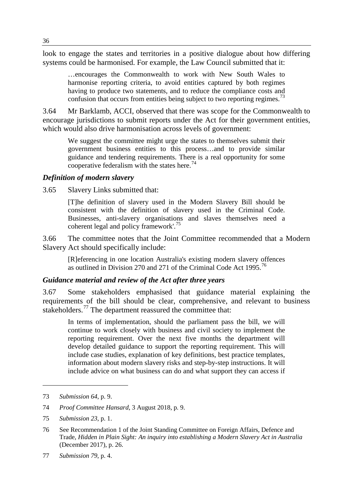look to engage the states and territories in a positive dialogue about how differing systems could be harmonised. For example, the Law Council submitted that it:

…encourages the Commonwealth to work with New South Wales to harmonise reporting criteria, to avoid entities captured by both regimes having to produce two statements, and to reduce the compliance costs and confusion that occurs from entities being subject to two reporting regimes.<sup>73</sup>

3.64 Mr Barklamb, ACCI, observed that there was scope for the Commonwealth to encourage jurisdictions to submit reports under the Act for their government entities, which would also drive harmonisation across levels of government:

We suggest the committee might urge the states to themselves submit their government business entities to this process…and to provide similar guidance and tendering requirements. There is a real opportunity for some cooperative federalism with the states here.<sup>74</sup>

#### *Definition of modern slavery*

3.65 Slavery Links submitted that:

[T]he definition of slavery used in the Modern Slavery Bill should be consistent with the definition of slavery used in the Criminal Code. Businesses, anti-slavery organisations and slaves themselves need a coherent legal and policy framework'.<sup>75</sup>

3.66 The committee notes that the Joint Committee recommended that a Modern Slavery Act should specifically include:

[R]eferencing in one location Australia's existing modern slavery offences as outlined in Division 270 and 271 of the Criminal Code Act 1995.<sup>76</sup>

#### *Guidance material and review of the Act after three years*

3.67 Some stakeholders emphasised that guidance material explaining the requirements of the bill should be clear, comprehensive, and relevant to business stakeholders.<sup>77</sup> The department reassured the committee that:

In terms of implementation, should the parliament pass the bill, we will continue to work closely with business and civil society to implement the reporting requirement. Over the next five months the department will develop detailed guidance to support the reporting requirement. This will include case studies, explanation of key definitions, best practice templates, information about modern slavery risks and step-by-step instructions. It will include advice on what business can do and what support they can access if

<sup>73</sup> *Submission 64*, p. 9.

<sup>74</sup> *Proof Committee Hansard*, 3 August 2018, p. 9.

<sup>75</sup> *Submission 23*, p. 1.

<sup>76</sup> See Recommendation 1 of the Joint Standing Committee on Foreign Affairs, Defence and Trade, *Hidden in Plain Sight: An inquiry into establishing a Modern Slavery Act in Australia*  (December 2017), p. 26.

<sup>77</sup> *Submission 79*, p. 4.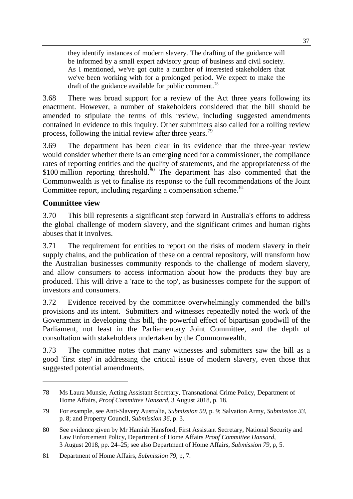they identify instances of modern slavery. The drafting of the guidance will be informed by a small expert advisory group of business and civil society. As I mentioned, we've got quite a number of interested stakeholders that we've been working with for a prolonged period. We expect to make the draft of the guidance available for public comment.<sup>78</sup>

3.68 There was broad support for a review of the Act three years following its enactment. However, a number of stakeholders considered that the bill should be amended to stipulate the terms of this review, including suggested amendments contained in evidence to this inquiry. Other submitters also called for a rolling review process, following the initial review after three years.<sup>79</sup>

3.69 The department has been clear in its evidence that the three-year review would consider whether there is an emerging need for a commissioner, the compliance rates of reporting entities and the quality of statements, and the appropriateness of the  $$100$  million reporting threshold.<sup>80</sup> The department has also commented that the Commonwealth is yet to finalise its response to the full recommendations of the Joint Committee report, including regarding a compensation scheme.<sup>81</sup>

## **Committee view**

-

3.70 This bill represents a significant step forward in Australia's efforts to address the global challenge of modern slavery, and the significant crimes and human rights abuses that it involves.

3.71 The requirement for entities to report on the risks of modern slavery in their supply chains, and the publication of these on a central repository, will transform how the Australian businesses community responds to the challenge of modern slavery, and allow consumers to access information about how the products they buy are produced. This will drive a 'race to the top', as businesses compete for the support of investors and consumers.

3.72 Evidence received by the committee overwhelmingly commended the bill's provisions and its intent. Submitters and witnesses repeatedly noted the work of the Government in developing this bill, the powerful effect of bipartisan goodwill of the Parliament, not least in the Parliamentary Joint Committee, and the depth of consultation with stakeholders undertaken by the Commonwealth.

3.73 The committee notes that many witnesses and submitters saw the bill as a good 'first step' in addressing the critical issue of modern slavery, even those that suggested potential amendments.

<sup>78</sup> Ms Laura Munsie, Acting Assistant Secretary, Transnational Crime Policy, Department of Home Affairs, *Proof Committee Hansard*, 3 August 2018, p. 18.

<sup>79</sup> For example, see Anti-Slavery Australia, *Submission 50*, p. 9; Salvation Army, *Submission 33*, p. 8; and Property Council, *Submission 36*, p. 3.

<sup>80</sup> See evidence given by Mr Hamish Hansford, First Assistant Secretary, National Security and Law Enforcement Policy, Department of Home Affairs *Proof Committee Hansard*, 3 August 2018, pp. 24–25; see also Department of Home Affairs, *Submission 79*, p, 5.

<sup>81</sup> Department of Home Affairs, *Submission 79*, p, 7.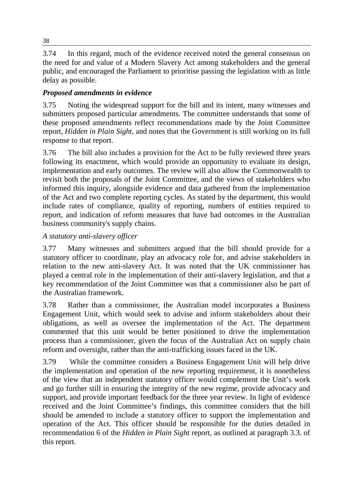3.74 In this regard, much of the evidence received noted the general consensus on the need for and value of a Modern Slavery Act among stakeholders and the general public, and encouraged the Parliament to prioritise passing the legislation with as little delay as possible.

## *Proposed amendments in evidence*

3.75 Noting the widespread support for the bill and its intent, many witnesses and submitters proposed particular amendments. The committee understands that some of these proposed amendments reflect recommendations made by the Joint Committee report, *Hidden in Plain Sight*, and notes that the Government is still working on its full response to that report.

3.76 The bill also includes a provision for the Act to be fully reviewed three years following its enactment, which would provide an opportunity to evaluate its design, implementation and early outcomes. The review will also allow the Commonwealth to revisit both the proposals of the Joint Committee, and the views of stakeholders who informed this inquiry, alongside evidence and data gathered from the implementation of the Act and two complete reporting cycles. As stated by the department, this would include rates of compliance, quality of reporting, numbers of entities required to report, and indication of reform measures that have had outcomes in the Australian business community's supply chains.

## *A statutory anti-slavery officer*

3.77 Many witnesses and submitters argued that the bill should provide for a statutory officer to coordinate, play an advocacy role for, and advise stakeholders in relation to the new anti-slavery Act. It was noted that the UK commissioner has played a central role in the implementation of their anti-slavery legislation, and that a key recommendation of the Joint Committee was that a commissioner also be part of the Australian framework.

3.78 Rather than a commissioner, the Australian model incorporates a Business Engagement Unit, which would seek to advise and inform stakeholders about their obligations, as well as oversee the implementation of the Act. The department commented that this unit would be better positioned to drive the implementation process than a commissioner, given the focus of the Australian Act on supply chain reform and oversight, rather than the anti-trafficking issues faced in the UK.

3.79 While the committee considers a Business Engagement Unit will help drive the implementation and operation of the new reporting requirement, it is nonetheless of the view that an independent statutory officer would complement the Unit's work and go further still in ensuring the integrity of the new regime, provide advocacy and support, and provide important feedback for the three year review. In light of evidence received and the Joint Committee's findings, this committee considers that the bill should be amended to include a statutory officer to support the implementation and operation of the Act. This officer should be responsible for the duties detailed in recommendation 6 of the *Hidden in Plain Sight* report, as outlined at paragraph 3.3. of this report.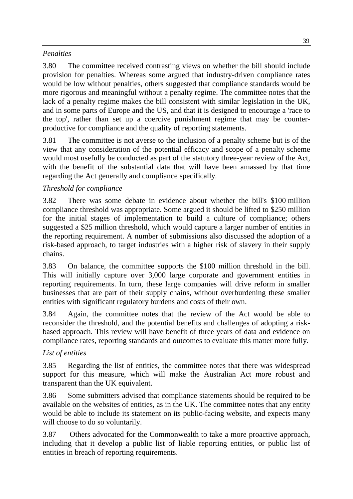## *Penalties*

3.80 The committee received contrasting views on whether the bill should include provision for penalties. Whereas some argued that industry-driven compliance rates would be low without penalties, others suggested that compliance standards would be more rigorous and meaningful without a penalty regime. The committee notes that the lack of a penalty regime makes the bill consistent with similar legislation in the UK, and in some parts of Europe and the US, and that it is designed to encourage a 'race to the top', rather than set up a coercive punishment regime that may be counterproductive for compliance and the quality of reporting statements.

3.81 The committee is not averse to the inclusion of a penalty scheme but is of the view that any consideration of the potential efficacy and scope of a penalty scheme would most usefully be conducted as part of the statutory three-year review of the Act, with the benefit of the substantial data that will have been amassed by that time regarding the Act generally and compliance specifically.

## *Threshold for compliance*

3.82 There was some debate in evidence about whether the bill's \$100 million compliance threshold was appropriate. Some argued it should be lifted to \$250 million for the initial stages of implementation to build a culture of compliance; others suggested a \$25 million threshold, which would capture a larger number of entities in the reporting requirement. A number of submissions also discussed the adoption of a risk-based approach, to target industries with a higher risk of slavery in their supply chains.

3.83 On balance, the committee supports the \$100 million threshold in the bill. This will initially capture over 3,000 large corporate and government entities in reporting requirements. In turn, these large companies will drive reform in smaller businesses that are part of their supply chains, without overburdening these smaller entities with significant regulatory burdens and costs of their own.

3.84 Again, the committee notes that the review of the Act would be able to reconsider the threshold, and the potential benefits and challenges of adopting a riskbased approach. This review will have benefit of three years of data and evidence on compliance rates, reporting standards and outcomes to evaluate this matter more fully.

## *List of entities*

3.85 Regarding the list of entities, the committee notes that there was widespread support for this measure, which will make the Australian Act more robust and transparent than the UK equivalent.

3.86 Some submitters advised that compliance statements should be required to be available on the websites of entities, as in the UK. The committee notes that any entity would be able to include its statement on its public-facing website, and expects many will choose to do so voluntarily.

3.87 Others advocated for the Commonwealth to take a more proactive approach, including that it develop a public list of liable reporting entities, or public list of entities in breach of reporting requirements.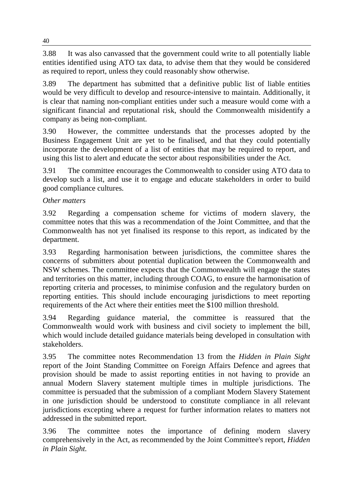3.88 It was also canvassed that the government could write to all potentially liable entities identified using ATO tax data, to advise them that they would be considered as required to report, unless they could reasonably show otherwise.

3.89 The department has submitted that a definitive public list of liable entities would be very difficult to develop and resource-intensive to maintain. Additionally, it is clear that naming non-compliant entities under such a measure would come with a significant financial and reputational risk, should the Commonwealth misidentify a company as being non-compliant.

3.90 However, the committee understands that the processes adopted by the Business Engagement Unit are yet to be finalised, and that they could potentially incorporate the development of a list of entities that may be required to report, and using this list to alert and educate the sector about responsibilities under the Act.

3.91 The committee encourages the Commonwealth to consider using ATO data to develop such a list, and use it to engage and educate stakeholders in order to build good compliance cultures.

## *Other matters*

3.92 Regarding a compensation scheme for victims of modern slavery, the committee notes that this was a recommendation of the Joint Committee, and that the Commonwealth has not yet finalised its response to this report, as indicated by the department.

3.93 Regarding harmonisation between jurisdictions, the committee shares the concerns of submitters about potential duplication between the Commonwealth and NSW schemes. The committee expects that the Commonwealth will engage the states and territories on this matter, including through COAG, to ensure the harmonisation of reporting criteria and processes, to minimise confusion and the regulatory burden on reporting entities. This should include encouraging jurisdictions to meet reporting requirements of the Act where their entities meet the \$100 million threshold.

3.94 Regarding guidance material, the committee is reassured that the Commonwealth would work with business and civil society to implement the bill, which would include detailed guidance materials being developed in consultation with stakeholders.

3.95 The committee notes Recommendation 13 from the *Hidden in Plain Sight* report of the Joint Standing Committee on Foreign Affairs Defence and agrees that provision should be made to assist reporting entities in not having to provide an annual Modern Slavery statement multiple times in multiple jurisdictions. The committee is persuaded that the submission of a compliant Modern Slavery Statement in one jurisdiction should be understood to constitute compliance in all relevant jurisdictions excepting where a request for further information relates to matters not addressed in the submitted report.

3.96 The committee notes the importance of defining modern slavery comprehensively in the Act, as recommended by the Joint Committee's report, *Hidden in Plain Sight.*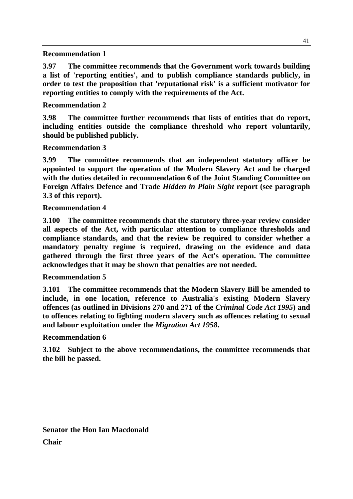#### **Recommendation 1**

**3.97 The committee recommends that the Government work towards building a list of 'reporting entities', and to publish compliance standards publicly, in order to test the proposition that 'reputational risk' is a sufficient motivator for reporting entities to comply with the requirements of the Act.** 

#### **Recommendation 2**

**3.98 The committee further recommends that lists of entities that do report, including entities outside the compliance threshold who report voluntarily, should be published publicly.**

#### **Recommendation 3**

**3.99 The committee recommends that an independent statutory officer be appointed to support the operation of the Modern Slavery Act and be charged with the duties detailed in recommendation 6 of the Joint Standing Committee on Foreign Affairs Defence and Trade** *Hidden in Plain Sight* **report (see paragraph 3.3 of this report).**

#### **Recommendation 4**

**3.100 The committee recommends that the statutory three-year review consider all aspects of the Act, with particular attention to compliance thresholds and compliance standards, and that the review be required to consider whether a mandatory penalty regime is required, drawing on the evidence and data gathered through the first three years of the Act's operation. The committee acknowledges that it may be shown that penalties are not needed.**

#### **Recommendation 5**

**3.101 The committee recommends that the Modern Slavery Bill be amended to include, in one location, reference to Australia's existing Modern Slavery offences (as outlined in Divisions 270 and 271 of the** *Criminal Code Act 1995***) and to offences relating to fighting modern slavery such as offences relating to sexual and labour exploitation under the** *Migration Act 1958***.**

#### **Recommendation 6**

**3.102 Subject to the above recommendations, the committee recommends that the bill be passed.**

**Senator the Hon Ian Macdonald Chair**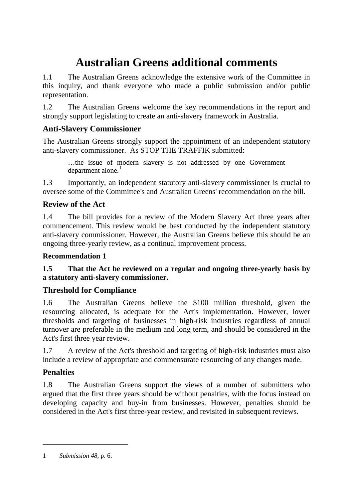# **Australian Greens additional comments**

1.1 The Australian Greens acknowledge the extensive work of the Committee in this inquiry, and thank everyone who made a public submission and/or public representation.

1.2 The Australian Greens welcome the key recommendations in the report and strongly support legislating to create an anti-slavery framework in Australia.

## **Anti-Slavery Commissioner**

The Australian Greens strongly support the appointment of an independent statutory anti-slavery commissioner. As STOP THE TRAFFIK submitted:

…the issue of modern slavery is not addressed by one Government department alone. $<sup>1</sup>$ </sup>

1.3 Importantly, an independent statutory anti-slavery commissioner is crucial to oversee some of the Committee's and Australian Greens' recommendation on the bill.

## **Review of the Act**

1.4 The bill provides for a review of the Modern Slavery Act three years after commencement. This review would be best conducted by the independent statutory anti-slavery commissioner. However, the Australian Greens believe this should be an ongoing three-yearly review, as a continual improvement process.

## **Recommendation 1**

## **1.5 That the Act be reviewed on a regular and ongoing three-yearly basis by a statutory anti-slavery commissioner.**

## **Threshold for Compliance**

1.6 The Australian Greens believe the \$100 million threshold, given the resourcing allocated, is adequate for the Act's implementation. However, lower thresholds and targeting of businesses in high-risk industries regardless of annual turnover are preferable in the medium and long term, and should be considered in the Act's first three year review.

1.7 A review of the Act's threshold and targeting of high-risk industries must also include a review of appropriate and commensurate resourcing of any changes made.

## **Penalties**

-

1.8 The Australian Greens support the views of a number of submitters who argued that the first three years should be without penalties, with the focus instead on developing capacity and buy-in from businesses. However, penalties should be considered in the Act's first three-year review, and revisited in subsequent reviews.

<sup>1</sup> *Submission 48*, p. 6.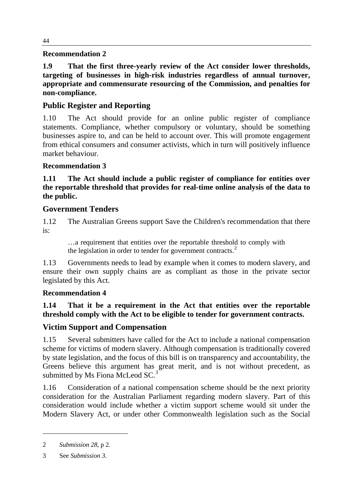#### **Recommendation 2**

**1.9 That the first three-yearly review of the Act consider lower thresholds, targeting of businesses in high-risk industries regardless of annual turnover, appropriate and commensurate resourcing of the Commission, and penalties for non-compliance.**

## **Public Register and Reporting**

1.10 The Act should provide for an online public register of compliance statements. Compliance, whether compulsory or voluntary, should be something businesses aspire to, and can be held to account over. This will promote engagement from ethical consumers and consumer activists, which in turn will positively influence market behaviour.

## **Recommendation 3**

**1.11 The Act should include a public register of compliance for entities over the reportable threshold that provides for real-time online analysis of the data to the public.**

## **Government Tenders**

1.12 The Australian Greens support Save the Children's recommendation that there is:

…a requirement that entities over the reportable threshold to comply with the legislation in order to tender for government contracts.<sup>2</sup>

1.13 Governments needs to lead by example when it comes to modern slavery, and ensure their own supply chains are as compliant as those in the private sector legislated by this Act.

## **Recommendation 4**

## **1.14 That it be a requirement in the Act that entities over the reportable threshold comply with the Act to be eligible to tender for government contracts.**

## **Victim Support and Compensation**

1.15 Several submitters have called for the Act to include a national compensation scheme for victims of modern slavery. Although compensation is traditionally covered by state legislation, and the focus of this bill is on transparency and accountability, the Greens believe this argument has great merit, and is not without precedent, as submitted by Ms Fiona McLeod SC.<sup>3</sup>

1.16 Consideration of a national compensation scheme should be the next priority consideration for the Australian Parliament regarding modern slavery. Part of this consideration would include whether a victim support scheme would sit under the Modern Slavery Act, or under other Commonwealth legislation such as the Social

<sup>2</sup> *Submission 28*, p 2.

<sup>3</sup> See *Submission 3*.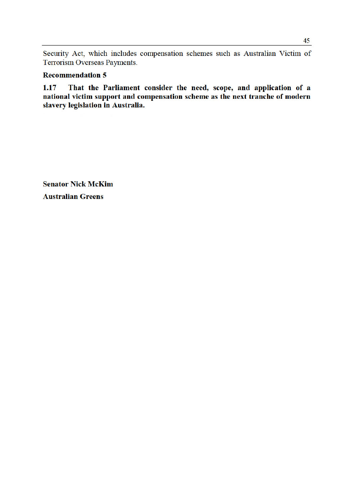Security Act, which includes compensation schemes such as Australian Victim of Terrorism Overseas Payments.

#### **Recommendation 5**

That the Parliament consider the need, scope, and application of a  $1.17$ national victim support and compensation scheme as the next tranche of modern<br>slavery legislation in Australia.

**Senator Nick McKim Australian Greens**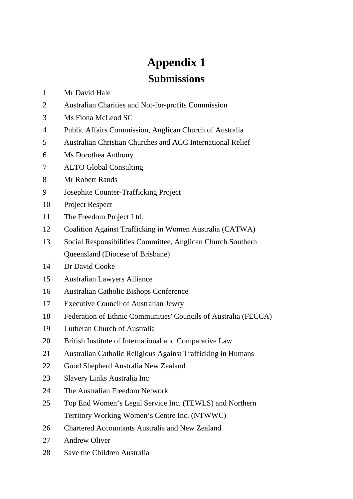# **Appendix 1 Submissions**

1 Mr David Hale

- 2 Australian Charities and Not-for-profits Commission
- 3 Ms Fiona McLeod SC
- 4 Public Affairs Commission, Anglican Church of Australia
- 5 Australian Christian Churches and ACC International Relief
- 6 Ms Dorothea Anthony
- 7 ALTO Global Consulting
- 8 Mr Robert Rands
- 9 Josephite Counter-Trafficking Project
- 10 Project Respect
- 11 The Freedom Project Ltd.
- 12 Coalition Against Trafficking in Women Australia (CATWA)
- 13 Social Responsibilities Committee, Anglican Church Southern Queensland (Diocese of Brisbane)
- 14 Dr David Cooke
- 15 Australian Lawyers Alliance
- 16 Australian Catholic Bishops Conference
- 17 Executive Council of Australian Jewry
- 18 Federation of Ethnic Communities' Councils of Australia (FECCA)
- 19 Lutheran Church of Australia
- 20 British Institute of International and Comparative Law
- 21 Australian Catholic Religious Against Trafficking in Humans
- 22 Good Shepherd Australia New Zealand
- 23 Slavery Links Australia Inc
- 24 The Australian Freedom Network
- 25 Top End Women's Legal Service Inc. (TEWLS) and Northern Territory Working Women's Centre Inc. (NTWWC)
- 26 Chartered Accountants Australia and New Zealand
- 27 Andrew Oliver
- 28 Save the Children Australia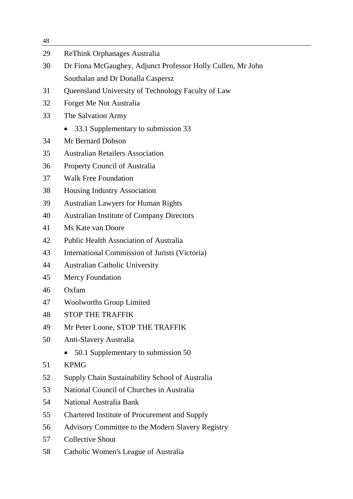| 48 |                                                             |
|----|-------------------------------------------------------------|
| 29 | <b>ReThink Orphanages Australia</b>                         |
| 30 | Dr Fiona McGaughey, Adjunct Professor Holly Cullen, Mr John |
|    | Southalan and Dr Donalla Caspersz                           |
| 31 | Queensland University of Technology Faculty of Law          |
| 32 | Forget Me Not Australia                                     |
| 33 | The Salvation Army                                          |
|    | 33.1 Supplementary to submission 33                         |
| 34 | Mr Bernard Dobson                                           |
| 35 | <b>Australian Retailers Association</b>                     |
| 36 | Property Council of Australia                               |
| 37 | <b>Walk Free Foundation</b>                                 |
| 38 | Housing Industry Association                                |
| 39 | <b>Australian Lawyers for Human Rights</b>                  |
| 40 | <b>Australian Institute of Company Directors</b>            |
| 41 | Ms Kate van Doore                                           |
| 42 | <b>Public Health Association of Australia</b>               |
| 43 | International Commission of Jurists (Victoria)              |
| 44 | <b>Australian Catholic University</b>                       |
| 45 | Mercy Foundation                                            |
| 46 | Oxfam                                                       |
| 47 | <b>Woolworths Group Limited</b>                             |
| 48 | <b>STOP THE TRAFFIK</b>                                     |
| 49 | Mr Peter Loone, STOP THE TRAFFIK                            |
| 50 | Anti-Slavery Australia                                      |
|    | 50.1 Supplementary to submission 50                         |
| 51 | <b>KPMG</b>                                                 |
| 52 | Supply Chain Sustainability School of Australia             |
| 53 | National Council of Churches in Australia                   |
| 54 | National Australia Bank                                     |
| 55 | Chartered Institute of Procurement and Supply               |
| 56 | Advisory Committee to the Modern Slavery Registry           |
| 57 | <b>Collective Shout</b>                                     |
| 58 | Catholic Women's League of Australia                        |
|    |                                                             |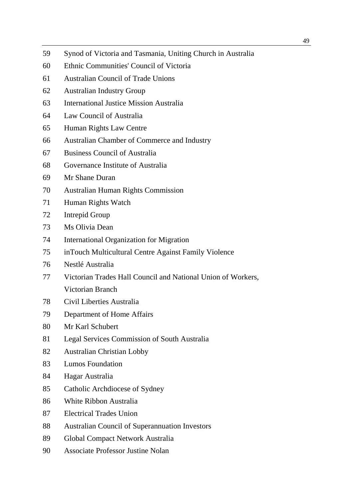- 59 Synod of Victoria and Tasmania, Uniting Church in Australia
- 60 Ethnic Communities' Council of Victoria
- 61 Australian Council of Trade Unions
- 62 Australian Industry Group
- 63 International Justice Mission Australia
- 64 Law Council of Australia
- 65 Human Rights Law Centre
- 66 Australian Chamber of Commerce and Industry
- 67 Business Council of Australia
- 68 Governance Institute of Australia
- 69 Mr Shane Duran
- 70 Australian Human Rights Commission
- 71 Human Rights Watch
- 72 Intrepid Group
- 73 Ms Olivia Dean
- 74 International Organization for Migration
- 75 inTouch Multicultural Centre Against Family Violence
- 76 Nestlé Australia
- 77 Victorian Trades Hall Council and National Union of Workers, Victorian Branch
- 78 Civil Liberties Australia
- 79 Department of Home Affairs
- 80 Mr Karl Schubert
- 81 Legal Services Commission of South Australia
- 82 Australian Christian Lobby
- 83 Lumos Foundation
- 84 Hagar Australia
- 85 Catholic Archdiocese of Sydney
- 86 White Ribbon Australia
- 87 Electrical Trades Union
- 88 Australian Council of Superannuation Investors
- 89 Global Compact Network Australia
- 90 Associate Professor Justine Nolan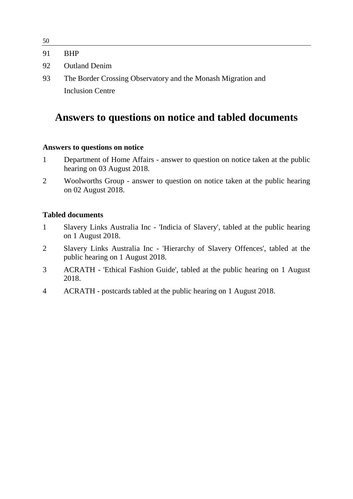| 50 |                                                              |
|----|--------------------------------------------------------------|
| 91 | <b>BHP</b>                                                   |
| 92 | <b>Outland Denim</b>                                         |
| 93 | The Border Crossing Observatory and the Monash Migration and |
|    | <b>Inclusion Centre</b>                                      |

## **Answers to questions on notice and tabled documents**

#### **Answers to questions on notice**

- 1 Department of Home Affairs answer to question on notice taken at the public hearing on 03 August 2018.
- 2 Woolworths Group answer to question on notice taken at the public hearing on 02 August 2018.

#### **Tabled documents**

- 1 Slavery Links Australia Inc 'Indicia of Slavery', tabled at the public hearing on 1 August 2018.
- 2 Slavery Links Australia Inc 'Hierarchy of Slavery Offences', tabled at the public hearing on 1 August 2018.
- 3 ACRATH 'Ethical Fashion Guide', tabled at the public hearing on 1 August 2018.
- 4 ACRATH postcards tabled at the public hearing on 1 August 2018.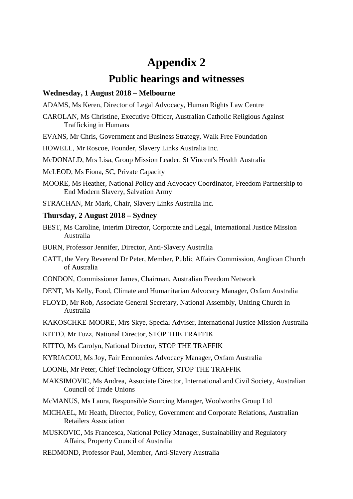## **Appendix 2**

## **Public hearings and witnesses**

#### **Wednesday, 1 August 2018 – Melbourne**

ADAMS, Ms Keren, Director of Legal Advocacy, Human Rights Law Centre

- CAROLAN, Ms Christine, Executive Officer, Australian Catholic Religious Against Trafficking in Humans
- EVANS, Mr Chris, Government and Business Strategy, Walk Free Foundation

HOWELL, Mr Roscoe, Founder, Slavery Links Australia Inc.

McDONALD, Mrs Lisa, Group Mission Leader, St Vincent's Health Australia

McLEOD, Ms Fiona, SC, Private Capacity

MOORE, Ms Heather, National Policy and Advocacy Coordinator, Freedom Partnership to End Modern Slavery, Salvation Army

STRACHAN, Mr Mark, Chair, Slavery Links Australia Inc.

#### **Thursday, 2 August 2018 – Sydney**

- BEST, Ms Caroline, Interim Director, Corporate and Legal, International Justice Mission Australia
- BURN, Professor Jennifer, Director, Anti-Slavery Australia
- CATT, the Very Reverend Dr Peter, Member, Public Affairs Commission, Anglican Church of Australia
- CONDON, Commissioner James, Chairman, Australian Freedom Network

DENT, Ms Kelly, Food, Climate and Humanitarian Advocacy Manager, Oxfam Australia

FLOYD, Mr Rob, Associate General Secretary, National Assembly, Uniting Church in Australia

KAKOSCHKE-MOORE, Mrs Skye, Special Adviser, International Justice Mission Australia

KITTO, Mr Fuzz, National Director, STOP THE TRAFFIK

KITTO, Ms Carolyn, National Director, STOP THE TRAFFIK

KYRIACOU, Ms Joy, Fair Economies Advocacy Manager, Oxfam Australia

LOONE, Mr Peter, Chief Technology Officer, STOP THE TRAFFIK

MAKSIMOVIC, Ms Andrea, Associate Director, International and Civil Society, Australian Council of Trade Unions

McMANUS, Ms Laura, Responsible Sourcing Manager, Woolworths Group Ltd

- MICHAEL, Mr Heath, Director, Policy, Government and Corporate Relations, Australian Retailers Association
- MUSKOVIC, Ms Francesca, National Policy Manager, Sustainability and Regulatory Affairs, Property Council of Australia
- REDMOND, Professor Paul, Member, Anti-Slavery Australia